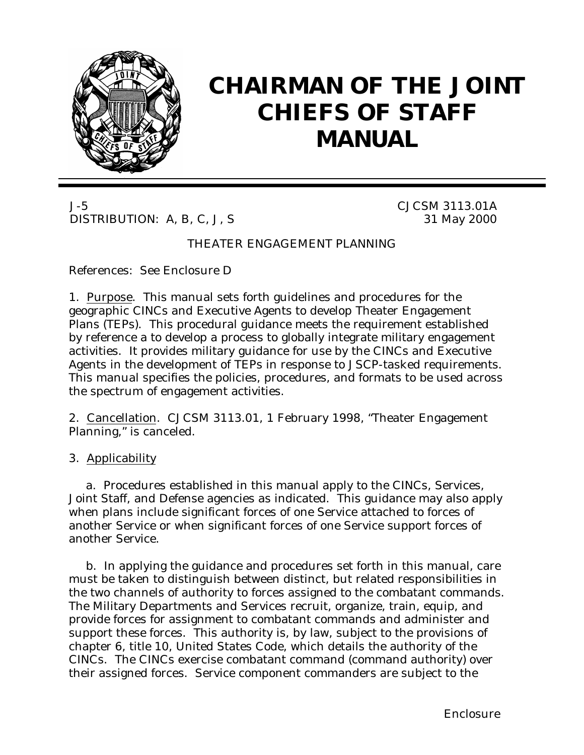

# **CHAIRMAN OF THE JOINT CHIEFS OF STAFF MANUAL**

J-5 CJCSM 3113.01A DISTRIBUTION: A, B, C, J, S 31 May 2000

### THEATER ENGAGEMENT PLANNING

References: See Enclosure D

1. Purpose. This manual sets forth guidelines and procedures for the geographic CINCs and Executive Agents to develop Theater Engagement Plans (TEPs). This procedural guidance meets the requirement established by reference a to develop a process to globally integrate military engagement activities. It provides military guidance for use by the CINCs and Executive Agents in the development of TEPs in response to JSCP-tasked requirements. This manual specifies the policies, procedures, and formats to be used across the spectrum of engagement activities.

2. Cancellation. CJCSM 3113.01, 1 February 1998, "Theater Engagement Planning," is canceled.

3. Applicability

a. Procedures established in this manual apply to the CINCs, Services, Joint Staff, and Defense agencies as indicated. This guidance may also apply when plans include significant forces of one Service attached to forces of another Service or when significant forces of one Service support forces of another Service.

b. In applying the guidance and procedures set forth in this manual, care must be taken to distinguish between distinct, but related responsibilities in the two channels of authority to forces assigned to the combatant commands. The Military Departments and Services recruit, organize, train, equip, and provide forces for assignment to combatant commands and administer and support these forces. This authority is, by law, subject to the provisions of chapter 6, title 10, United States Code, which details the authority of the CINCs. The CINCs exercise combatant command (command authority) over their assigned forces. Service component commanders are subject to the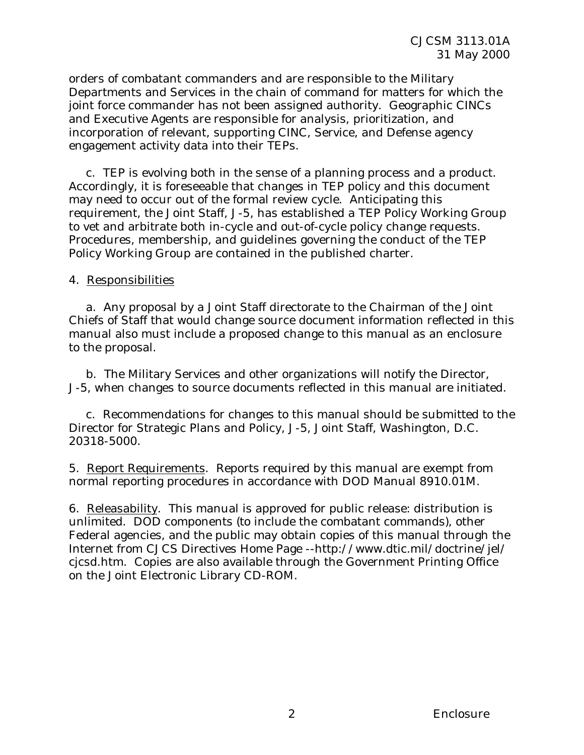orders of combatant commanders and are responsible to the Military Departments and Services in the chain of command for matters for which the joint force commander has not been assigned authority. Geographic CINCs and Executive Agents are responsible for analysis, prioritization, and incorporation of relevant, supporting CINC, Service, and Defense agency engagement activity data into their TEPs.

c. TEP is evolving both in the sense of a planning process and a product. Accordingly, it is foreseeable that changes in TEP policy and this document may need to occur out of the formal review cycle. Anticipating this requirement, the Joint Staff, J-5, has established a TEP Policy Working Group to vet and arbitrate both in-cycle and out-of-cycle policy change requests. Procedures, membership, and guidelines governing the conduct of the TEP Policy Working Group are contained in the published charter.

### 4. Responsibilities

a. Any proposal by a Joint Staff directorate to the Chairman of the Joint Chiefs of Staff that would change source document information reflected in this manual also must include a proposed change to this manual as an enclosure to the proposal.

b. The Military Services and other organizations will notify the Director, J-5, when changes to source documents reflected in this manual are initiated.

c. Recommendations for changes to this manual should be submitted to the Director for Strategic Plans and Policy, J-5, Joint Staff, Washington, D.C. 20318-5000.

5. Report Requirements. Reports required by this manual are exempt from normal reporting procedures in accordance with DOD Manual 8910.01M.

6. Releasability. This manual is approved for public release: distribution is unlimited. DOD components (to include the combatant commands), other Federal agencies, and the public may obtain copies of this manual through the Internet from CJCS Directives Home Page --http://www.dtic.mil/doctrine/jel/ cjcsd.htm. Copies are also available through the Government Printing Office on the Joint Electronic Library CD-ROM.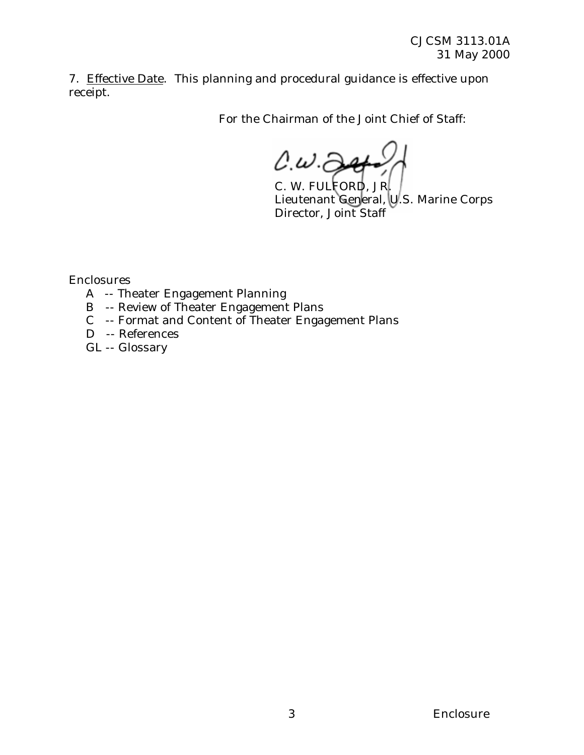7. Effective Date. This planning and procedural guidance is effective upon receipt.

For the Chairman of the Joint Chief of Staff:

 $0.0.04$ 

C. W. FULFORD, JR. Lieutenant General, U.S. Marine Corps Director, Joint Staff

Enclosures

- A -- Theater Engagement Planning
- B -- Review of Theater Engagement Plans
- C -- Format and Content of Theater Engagement Plans
- D -- References
- GL -- Glossary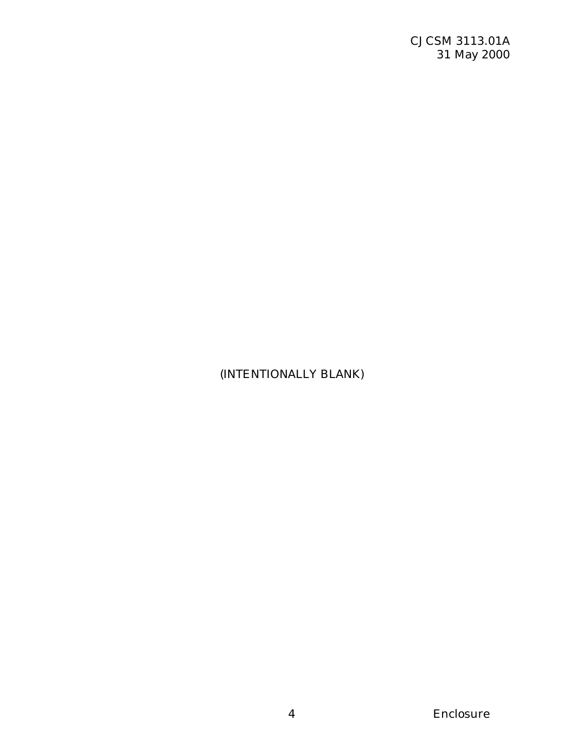# CJCSM 3113.01A 31 May 2000

# (INTENTIONALLY BLANK)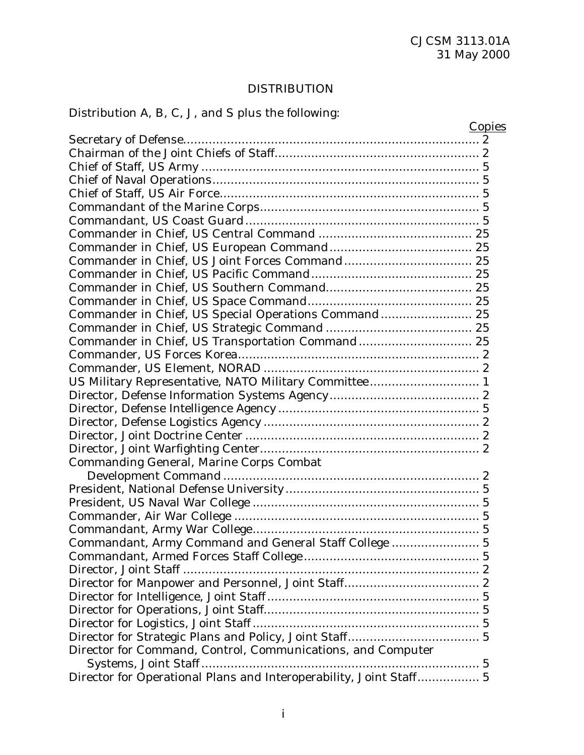### DISTRIBUTION

Distribution A, B, C, J, and S plus the following:

|                                                                    | Copies |
|--------------------------------------------------------------------|--------|
|                                                                    |        |
|                                                                    |        |
|                                                                    |        |
|                                                                    |        |
|                                                                    |        |
|                                                                    |        |
|                                                                    |        |
|                                                                    |        |
|                                                                    |        |
|                                                                    |        |
|                                                                    |        |
|                                                                    |        |
|                                                                    |        |
| Commander in Chief, US Special Operations Command 25               |        |
|                                                                    |        |
| Commander in Chief, US Transportation Command 25                   |        |
|                                                                    |        |
|                                                                    |        |
| US Military Representative, NATO Military Committee 1              |        |
|                                                                    |        |
|                                                                    |        |
|                                                                    |        |
|                                                                    |        |
|                                                                    |        |
| <b>Commanding General, Marine Corps Combat</b>                     |        |
|                                                                    |        |
|                                                                    |        |
|                                                                    |        |
|                                                                    |        |
|                                                                    |        |
| Commandant, Army Command and General Staff College  5              |        |
|                                                                    |        |
|                                                                    |        |
|                                                                    |        |
|                                                                    |        |
|                                                                    |        |
|                                                                    |        |
|                                                                    |        |
| Director for Command, Control, Communications, and Computer        |        |
|                                                                    |        |
| Director for Operational Plans and Interoperability, Joint Staff 5 |        |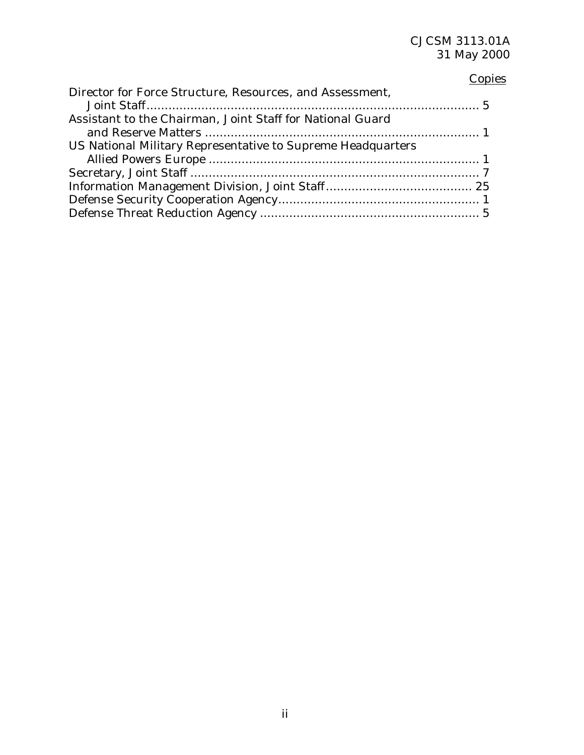# CJCSM 3113.01A 31 May 2000

# **Copies**

| Director for Force Structure, Resources, and Assessment,    |  |
|-------------------------------------------------------------|--|
|                                                             |  |
| Assistant to the Chairman, Joint Staff for National Guard   |  |
|                                                             |  |
| US National Military Representative to Supreme Headquarters |  |
|                                                             |  |
|                                                             |  |
|                                                             |  |
|                                                             |  |
|                                                             |  |
|                                                             |  |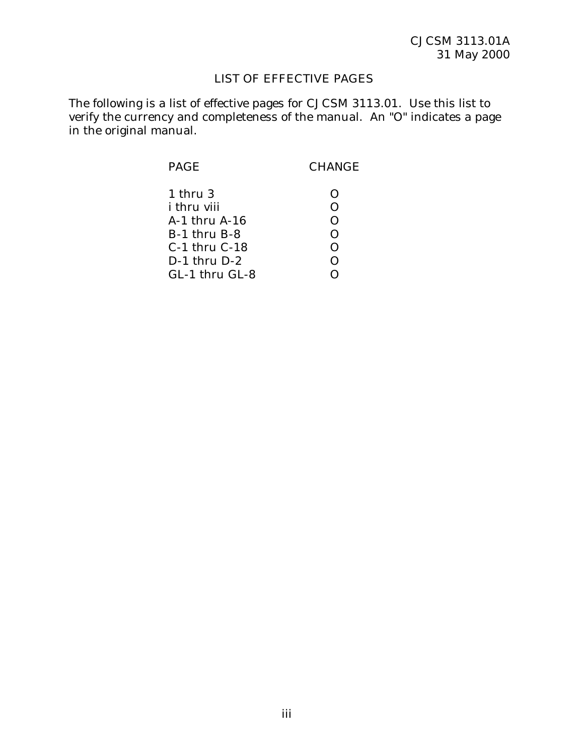### LIST OF EFFECTIVE PAGES

The following is a list of effective pages for CJCSM 3113.01. Use this list to verify the currency and completeness of the manual. An "O" indicates a page in the original manual.

| <b>PAGE</b>       | <b>CHANGE</b>     |
|-------------------|-------------------|
| 1 thru 3          | $\mathbf{\Omega}$ |
| i thru viii       | $\mathbf{\Omega}$ |
| $A-1$ thru $A-16$ | $\mathbf{\Omega}$ |
| B-1 thru B-8      | O                 |
| $C-1$ thru $C-18$ | $\mathbf{\Omega}$ |
| $D-1$ thru $D-2$  | 0                 |
| GL-1 thru GL-8    |                   |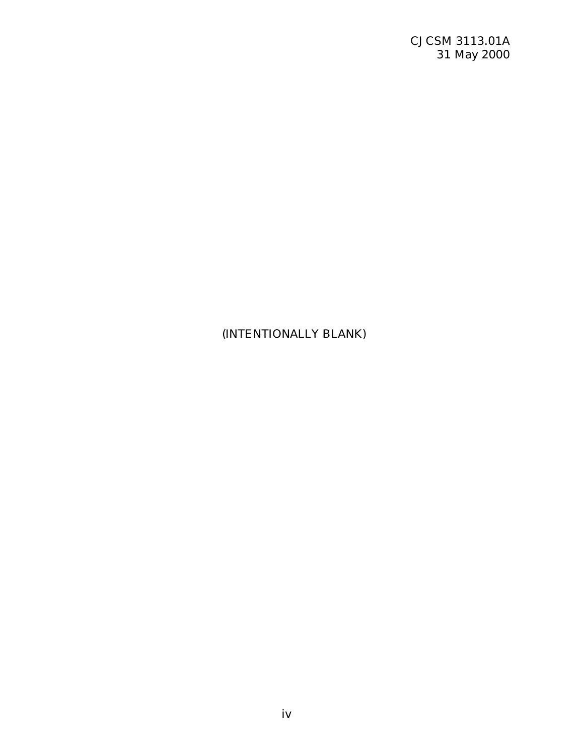# (INTENTIONALLY BLANK)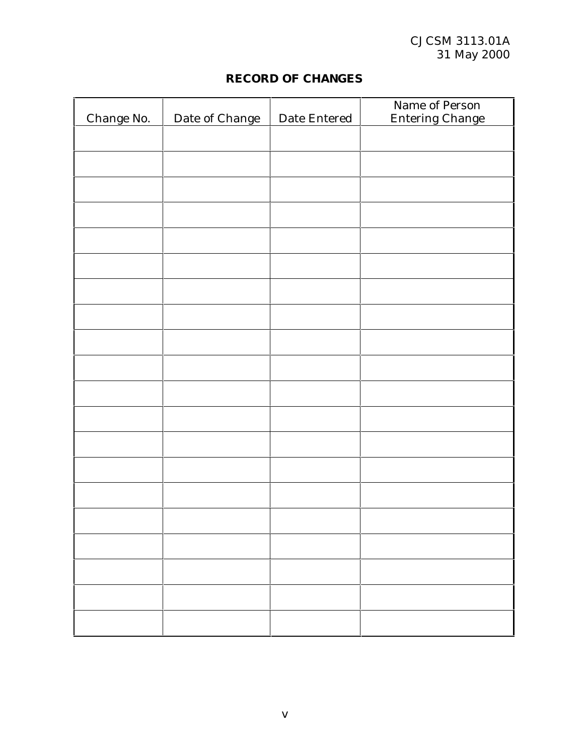# **RECORD OF CHANGES**

| Change No. | Date of Change | Date Entered | Name of Person<br><b>Entering Change</b> |
|------------|----------------|--------------|------------------------------------------|
|            |                |              |                                          |
|            |                |              |                                          |
|            |                |              |                                          |
|            |                |              |                                          |
|            |                |              |                                          |
|            |                |              |                                          |
|            |                |              |                                          |
|            |                |              |                                          |
|            |                |              |                                          |
|            |                |              |                                          |
|            |                |              |                                          |
|            |                |              |                                          |
|            |                |              |                                          |
|            |                |              |                                          |
|            |                |              |                                          |
|            |                |              |                                          |
|            |                |              |                                          |
|            |                |              |                                          |
|            |                |              |                                          |
|            |                |              |                                          |
|            |                |              |                                          |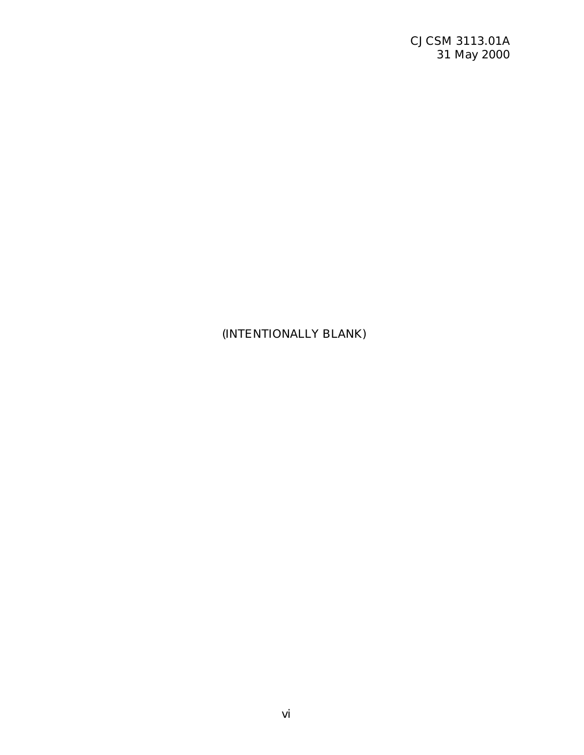# (INTENTIONALLY BLANK)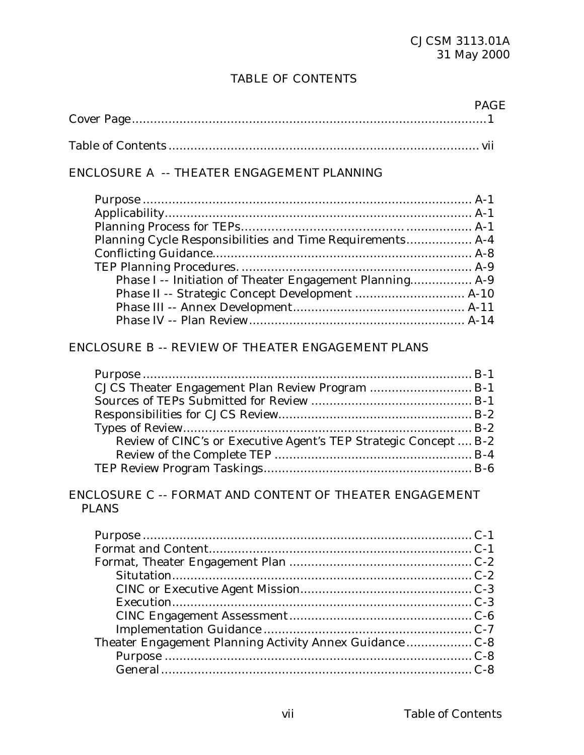### TABLE OF CONTENTS

| <b>PAGE</b> |
|-------------|
|             |
|             |
|             |

### [ENCLOSURE A -- THEATER ENGAGEMENT PLANNING](#page-12-0)

| Planning Cycle Responsibilities and Time Requirements A-4 |  |
|-----------------------------------------------------------|--|
|                                                           |  |
|                                                           |  |
| Phase I -- Initiation of Theater Engagement Planning A-9  |  |
| Phase II -- Strategic Concept Development  A-10           |  |
|                                                           |  |
|                                                           |  |
|                                                           |  |

# [ENCLOSURE B -- REVIEW OF THEATER ENGAGEMENT PLANS](#page-28-0)

| CJCS Theater Engagement Plan Review Program  B-1                 |  |
|------------------------------------------------------------------|--|
|                                                                  |  |
|                                                                  |  |
|                                                                  |  |
| Review of CINC's or Executive Agent's TEP Strategic Concept  B-2 |  |
|                                                                  |  |
|                                                                  |  |

### [ENCLOSURE C -- FORMAT AND CONTENT OF THEATER ENGAGEMENT](#page-36-0) PLANS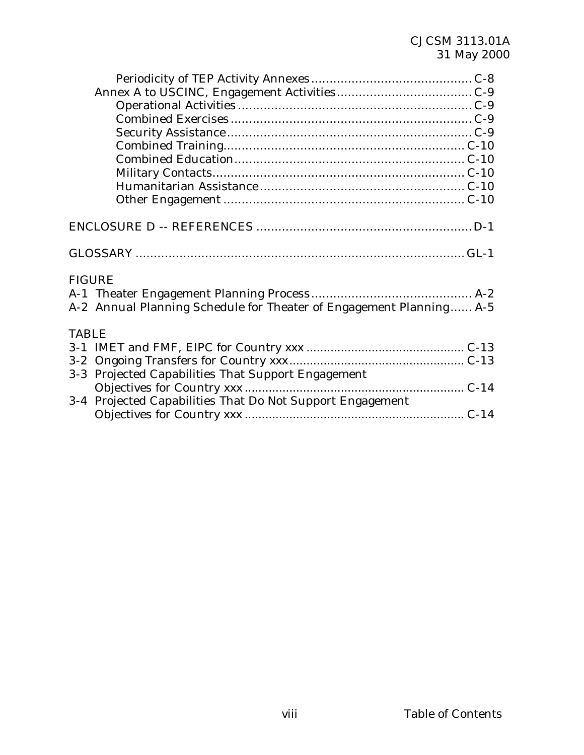|              | <b>FIGURE</b>                                                       |  |
|--------------|---------------------------------------------------------------------|--|
|              |                                                                     |  |
|              | A-2 Annual Planning Schedule for Theater of Engagement Planning A-5 |  |
| <b>TABLE</b> |                                                                     |  |
|              |                                                                     |  |
|              |                                                                     |  |
|              | 3-3 Projected Capabilities That Support Engagement                  |  |
|              |                                                                     |  |
|              | 3-4 Projected Capabilities That Do Not Support Engagement           |  |
|              |                                                                     |  |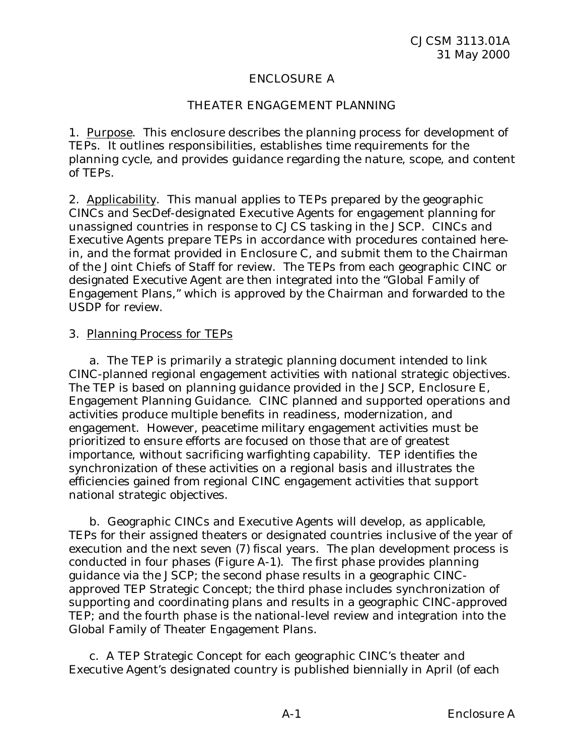#### ENCLOSURE A

#### THEATER ENGAGEMENT PLANNING

<span id="page-12-0"></span>1. Purpose. This enclosure describes the planning process for development of TEPs. It outlines responsibilities, establishes time requirements for the planning cycle, and provides guidance regarding the nature, scope, and content of TEPs.

2. Applicability. This manual applies to TEPs prepared by the geographic CINCs and SecDef-designated Executive Agents for engagement planning for unassigned countries in response to CJCS tasking in the JSCP. CINCs and Executive Agents prepare TEPs in accordance with procedures contained herein, and the format provided in Enclosure C, and submit them to the Chairman of the Joint Chiefs of Staff for review. The TEPs from each geographic CINC or designated Executive Agent are then integrated into the "Global Family of Engagement Plans," which is approved by the Chairman and forwarded to the USDP for review.

#### 3. Planning Process for TEPs

a. The TEP is primarily a strategic planning document intended to link CINC-planned regional engagement activities with national strategic objectives. The TEP is based on planning guidance provided in the JSCP, Enclosure E, Engagement Planning Guidance. CINC planned and supported operations and activities produce multiple benefits in readiness, modernization, and engagement. However, peacetime military engagement activities must be prioritized to ensure efforts are focused on those that are of greatest importance, without sacrificing warfighting capability. TEP identifies the synchronization of these activities on a regional basis and illustrates the efficiencies gained from regional CINC engagement activities that support national strategic objectives.

b. Geographic CINCs and Executive Agents will develop, as applicable, TEPs for their assigned theaters or designated countries inclusive of the year of execution and the next seven (7) fiscal years. The plan development process is conducted in four phases (Figure A-1). The first phase provides planning guidance via the JSCP; the second phase results in a geographic CINCapproved TEP Strategic Concept; the third phase includes synchronization of supporting and coordinating plans and results in a geographic CINC-approved TEP; and the fourth phase is the national-level review and integration into the Global Family of Theater Engagement Plans.

c. A TEP Strategic Concept for each geographic CINC's theater and Executive Agent's designated country is published biennially in April (of each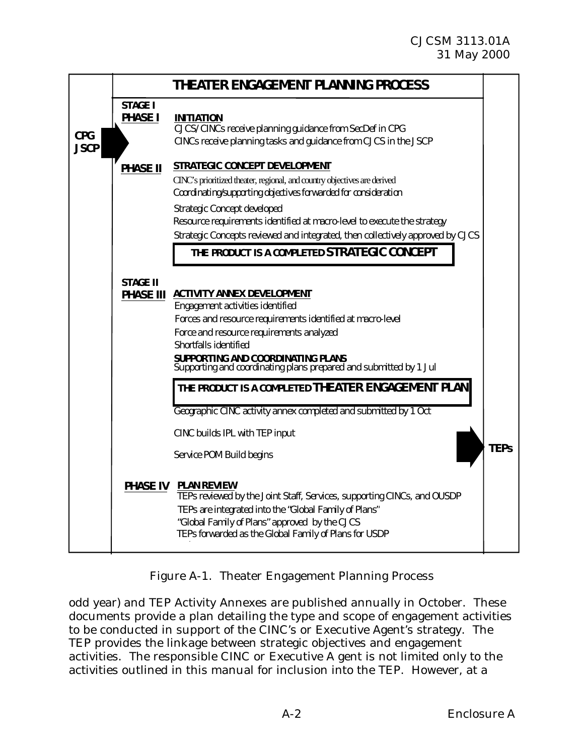<span id="page-13-0"></span>

Figure A-1. Theater Engagement Planning Process

odd year) and TEP Activity Annexes are published annually in October. These documents provide a plan detailing the type and scope of engagement activities to be conducted in support of the CINC's or Executive Agent's strategy. The TEP provides the linkage between strategic objectives and engagement activities. The responsible CINC or Executive A gent is not limited only to the activities outlined in this manual for inclusion into the TEP. However, at a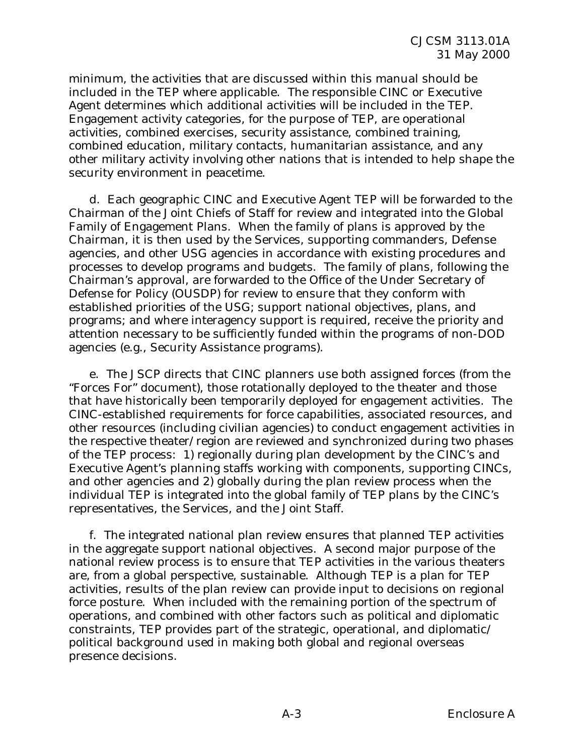minimum, the activities that are discussed within this manual should be included in the TEP where applicable. The responsible CINC or Executive Agent determines which additional activities will be included in the TEP. Engagement activity categories, for the purpose of TEP, are operational activities, combined exercises, security assistance, combined training, combined education, military contacts, humanitarian assistance, and any other military activity involving other nations that is intended to help shape the security environment in peacetime.

d. Each geographic CINC and Executive Agent TEP will be forwarded to the Chairman of the Joint Chiefs of Staff for review and integrated into the Global Family of Engagement Plans. When the family of plans is approved by the Chairman, it is then used by the Services, supporting commanders, Defense agencies, and other USG agencies in accordance with existing procedures and processes to develop programs and budgets. The family of plans, following the Chairman's approval, are forwarded to the Office of the Under Secretary of Defense for Policy (OUSDP) for review to ensure that they conform with established priorities of the USG; support national objectives, plans, and programs; and where interagency support is required, receive the priority and attention necessary to be sufficiently funded within the programs of non-DOD agencies (e.g., Security Assistance programs).

e. The JSCP directs that CINC planners use both assigned forces (from the "Forces For" document), those rotationally deployed to the theater and those that have historically been temporarily deployed for engagement activities. The CINC-established requirements for force capabilities, associated resources, and other resources (including civilian agencies) to conduct engagement activities in the respective theater/region are reviewed and synchronized during two phases of the TEP process: 1) regionally during plan development by the CINC's and Executive Agent's planning staffs working with components, supporting CINCs, and other agencies and 2) globally during the plan review process when the individual TEP is integrated into the global family of TEP plans by the CINC's representatives, the Services, and the Joint Staff.

f. The integrated national plan review ensures that planned TEP activities in the aggregate support national objectives. A second major purpose of the national review process is to ensure that TEP activities in the various theaters are, from a global perspective, sustainable. Although TEP is a plan for TEP activities, results of the plan review can provide input to decisions on regional force posture. When included with the remaining portion of the spectrum of operations, and combined with other factors such as political and diplomatic constraints, TEP provides part of the strategic, operational, and diplomatic/ political background used in making both global and regional overseas presence decisions.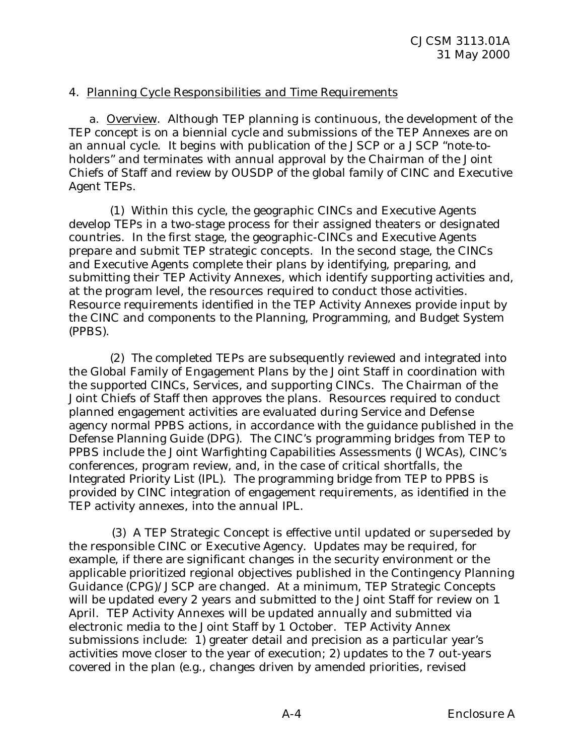### 4. Planning Cycle Responsibilities and Time Requirements

a. Overview. Although TEP planning is continuous, the development of the TEP concept is on a biennial cycle and submissions of the TEP Annexes are on an annual cycle. It begins with publication of the JSCP or a JSCP "note-toholders" and terminates with annual approval by the Chairman of the Joint Chiefs of Staff and review by OUSDP of the global family of CINC and Executive Agent TEPs.

(1) Within this cycle, the geographic CINCs and Executive Agents develop TEPs in a two-stage process for their assigned theaters or designated countries. In the first stage, the geographic-CINCs and Executive Agents prepare and submit TEP strategic concepts. In the second stage, the CINCs and Executive Agents complete their plans by identifying, preparing, and submitting their TEP Activity Annexes, which identify supporting activities and, at the program level, the resources required to conduct those activities. Resource requirements identified in the TEP Activity Annexes provide input by the CINC and components to the Planning, Programming, and Budget System (PPBS).

(2) The completed TEPs are subsequently reviewed and integrated into the Global Family of Engagement Plans by the Joint Staff in coordination with the supported CINCs, Services, and supporting CINCs. The Chairman of the Joint Chiefs of Staff then approves the plans. Resources required to conduct planned engagement activities are evaluated during Service and Defense agency normal PPBS actions, in accordance with the guidance published in the Defense Planning Guide (DPG). The CINC's programming bridges from TEP to PPBS include the Joint Warfighting Capabilities Assessments (JWCAs), CINC's conferences, program review, and, in the case of critical shortfalls, the Integrated Priority List (IPL). The programming bridge from TEP to PPBS is provided by CINC integration of engagement requirements, as identified in the TEP activity annexes, into the annual IPL.

(3) A TEP Strategic Concept is effective until updated or superseded by the responsible CINC or Executive Agency. Updates may be required, for example, if there are significant changes in the security environment or the applicable prioritized regional objectives published in the Contingency Planning Guidance (CPG)/JSCP are changed. At a minimum, TEP Strategic Concepts will be updated every 2 years and submitted to the Joint Staff for review on 1 April. TEP Activity Annexes will be updated annually and submitted via electronic media to the Joint Staff by 1 October. TEP Activity Annex submissions include: 1) greater detail and precision as a particular year's activities move closer to the year of execution; 2) updates to the 7 out-years covered in the plan (e.g., changes driven by amended priorities, revised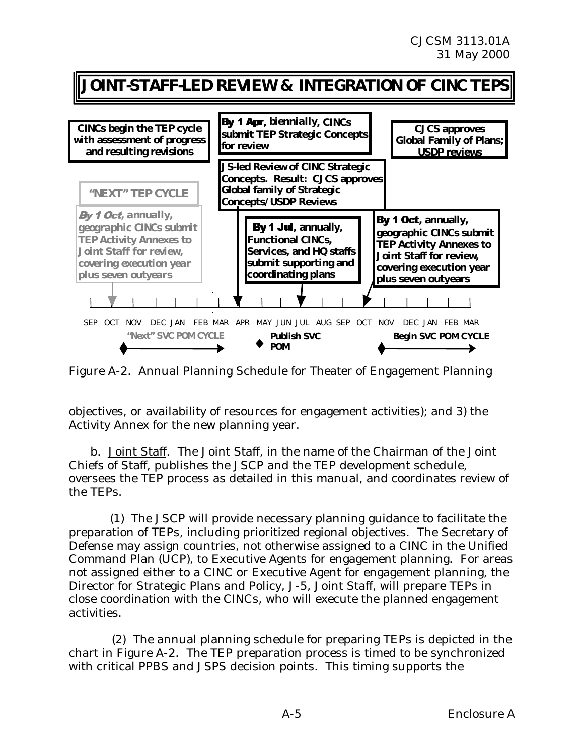# <span id="page-16-0"></span>*JOINT-STAFF-LED REVIEW & INTEGRATION OF CINC TEPS*



Figure A-2. Annual Planning Schedule for Theater of Engagement Planning

objectives, or availability of resources for engagement activities); and 3) the Activity Annex for the new planning year.

b. Joint Staff. The Joint Staff, in the name of the Chairman of the Joint Chiefs of Staff, publishes the JSCP and the TEP development schedule, oversees the TEP process as detailed in this manual, and coordinates review of the TEPs.

(1) The JSCP will provide necessary planning guidance to facilitate the preparation of TEPs, including prioritized regional objectives. The Secretary of Defense may assign countries, not otherwise assigned to a CINC in the Unified Command Plan (UCP), to Executive Agents for engagement planning. For areas not assigned either to a CINC or Executive Agent for engagement planning, the Director for Strategic Plans and Policy, J-5, Joint Staff, will prepare TEPs in close coordination with the CINCs, who will execute the planned engagement activities.

(2) The annual planning schedule for preparing TEPs is depicted in the chart in Figure A-2. The TEP preparation process is timed to be synchronized with critical PPBS and JSPS decision points. This timing supports the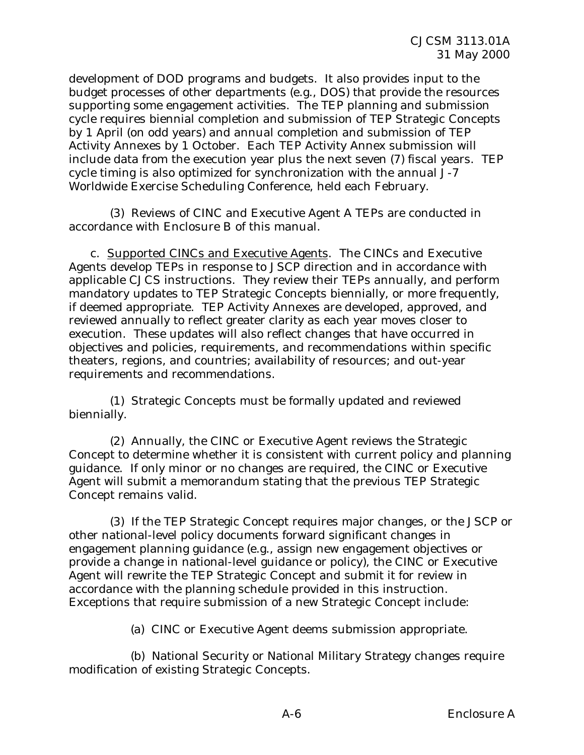development of DOD programs and budgets. It also provides input to the budget processes of other departments (e.g., DOS) that provide the resources supporting some engagement activities. The TEP planning and submission cycle requires biennial completion and submission of TEP Strategic Concepts by 1 April (on odd years) and annual completion and submission of TEP Activity Annexes by 1 October. Each TEP Activity Annex submission will include data from the execution year plus the next seven (7) fiscal years. TEP cycle timing is also optimized for synchronization with the annual J-7 Worldwide Exercise Scheduling Conference, held each February.

(3) Reviews of CINC and Executive Agent A TEPs are conducted in accordance with Enclosure B of this manual.

c. Supported CINCs and Executive Agents. The CINCs and Executive Agents develop TEPs in response to JSCP direction and in accordance with applicable CJCS instructions. They review their TEPs annually, and perform mandatory updates to TEP Strategic Concepts biennially, or more frequently, if deemed appropriate. TEP Activity Annexes are developed, approved, and reviewed annually to reflect greater clarity as each year moves closer to execution. These updates will also reflect changes that have occurred in objectives and policies, requirements, and recommendations within specific theaters, regions, and countries; availability of resources; and out-year requirements and recommendations.

(1) Strategic Concepts must be formally updated and reviewed biennially.

(2) Annually, the CINC or Executive Agent reviews the Strategic Concept to determine whether it is consistent with current policy and planning guidance. If only minor or no changes are required, the CINC or Executive Agent will submit a memorandum stating that the previous TEP Strategic Concept remains valid.

(3) If the TEP Strategic Concept requires major changes, or the JSCP or other national-level policy documents forward significant changes in engagement planning guidance (e.g., assign new engagement objectives or provide a change in national-level guidance or policy), the CINC or Executive Agent will rewrite the TEP Strategic Concept and submit it for review in accordance with the planning schedule provided in this instruction. Exceptions that require submission of a new Strategic Concept include:

(a) CINC or Executive Agent deems submission appropriate.

(b) National Security or National Military Strategy changes require modification of existing Strategic Concepts.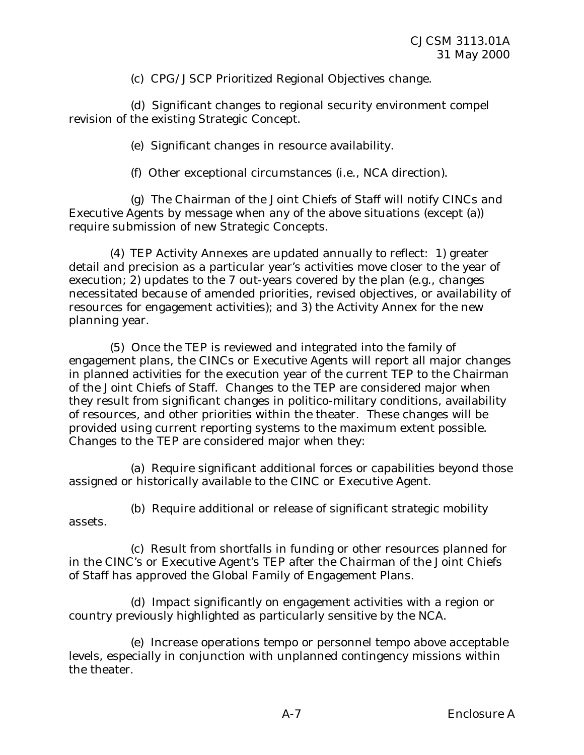(c) CPG/JSCP Prioritized Regional Objectives change.

(d) Significant changes to regional security environment compel revision of the existing Strategic Concept.

(e) Significant changes in resource availability.

(f) Other exceptional circumstances (i.e., NCA direction).

(g) The Chairman of the Joint Chiefs of Staff will notify CINCs and Executive Agents by message when any of the above situations (except (a)) require submission of new Strategic Concepts.

(4) TEP Activity Annexes are updated annually to reflect: 1) greater detail and precision as a particular year's activities move closer to the year of execution; 2) updates to the 7 out-years covered by the plan (e.g., changes necessitated because of amended priorities, revised objectives, or availability of resources for engagement activities); and 3) the Activity Annex for the new planning year.

(5) Once the TEP is reviewed and integrated into the family of engagement plans, the CINCs or Executive Agents will report all major changes in planned activities for the execution year of the current TEP to the Chairman of the Joint Chiefs of Staff. Changes to the TEP are considered major when they result from significant changes in politico-military conditions, availability of resources, and other priorities within the theater. These changes will be provided using current reporting systems to the maximum extent possible. Changes to the TEP are considered major when they:

(a) Require significant additional forces or capabilities beyond those assigned or historically available to the CINC or Executive Agent.

assets.

(b) Require additional or release of significant strategic mobility

(c) Result from shortfalls in funding or other resources planned for in the CINC's or Executive Agent's TEP after the Chairman of the Joint Chiefs of Staff has approved the Global Family of Engagement Plans.

(d) Impact significantly on engagement activities with a region or country previously highlighted as particularly sensitive by the NCA.

(e) Increase operations tempo or personnel tempo above acceptable levels, especially in conjunction with unplanned contingency missions within the theater.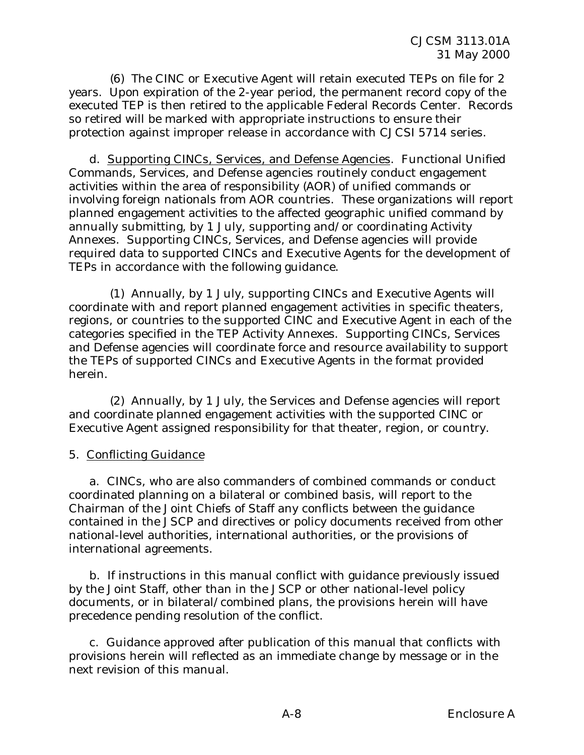(6) The CINC or Executive Agent will retain executed TEPs on file for 2 years. Upon expiration of the 2-year period, the permanent record copy of the executed TEP is then retired to the applicable Federal Records Center. Records so retired will be marked with appropriate instructions to ensure their protection against improper release in accordance with CJCSI 5714 series.

d. Supporting CINCs, Services, and Defense Agencies. Functional Unified Commands, Services, and Defense agencies routinely conduct engagement activities within the area of responsibility (AOR) of unified commands or involving foreign nationals from AOR countries. These organizations will report planned engagement activities to the affected geographic unified command by annually submitting, by 1 July, supporting and/or coordinating Activity Annexes. Supporting CINCs, Services, and Defense agencies will provide required data to supported CINCs and Executive Agents for the development of TEPs in accordance with the following guidance.

(1) Annually, by 1 July, supporting CINCs and Executive Agents will coordinate with and report planned engagement activities in specific theaters, regions, or countries to the supported CINC and Executive Agent in each of the categories specified in the TEP Activity Annexes. Supporting CINCs, Services and Defense agencies will coordinate force and resource availability to support the TEPs of supported CINCs and Executive Agents in the format provided herein.

(2) Annually, by 1 July, the Services and Defense agencies will report and coordinate planned engagement activities with the supported CINC or Executive Agent assigned responsibility for that theater, region, or country.

#### 5. Conflicting Guidance

a. CINCs, who are also commanders of combined commands or conduct coordinated planning on a bilateral or combined basis, will report to the Chairman of the Joint Chiefs of Staff any conflicts between the guidance contained in the JSCP and directives or policy documents received from other national-level authorities, international authorities, or the provisions of international agreements.

b. If instructions in this manual conflict with guidance previously issued by the Joint Staff, other than in the JSCP or other national-level policy documents, or in bilateral/combined plans, the provisions herein will have precedence pending resolution of the conflict.

c. Guidance approved after publication of this manual that conflicts with provisions herein will reflected as an immediate change by message or in the next revision of this manual.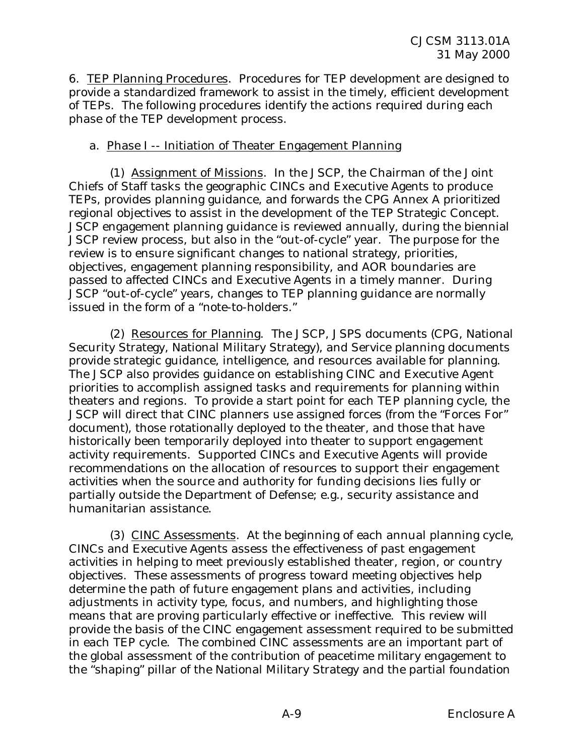6. TEP Planning Procedures. Procedures for TEP development are designed to provide a standardized framework to assist in the timely, efficient development of TEPs. The following procedures identify the actions required during each phase of the TEP development process.

### a. Phase I -- Initiation of Theater Engagement Planning

(1) Assignment of Missions. In the JSCP, the Chairman of the Joint Chiefs of Staff tasks the geographic CINCs and Executive Agents to produce TEPs, provides planning guidance, and forwards the CPG Annex A prioritized regional objectives to assist in the development of the TEP Strategic Concept. JSCP engagement planning guidance is reviewed annually, during the biennial JSCP review process, but also in the "out-of-cycle" year. The purpose for the review is to ensure significant changes to national strategy, priorities, objectives, engagement planning responsibility, and AOR boundaries are passed to affected CINCs and Executive Agents in a timely manner. During JSCP "out-of-cycle" years, changes to TEP planning guidance are normally issued in the form of a "note-to-holders."

(2) Resources for Planning. The JSCP, JSPS documents (CPG, National Security Strategy, National Military Strategy), and Service planning documents provide strategic guidance, intelligence, and resources available for planning. The JSCP also provides guidance on establishing CINC and Executive Agent priorities to accomplish assigned tasks and requirements for planning within theaters and regions. To provide a start point for each TEP planning cycle, the JSCP will direct that CINC planners use assigned forces (from the "Forces For" document), those rotationally deployed to the theater, and those that have historically been temporarily deployed into theater to support engagement activity requirements. Supported CINCs and Executive Agents will provide recommendations on the allocation of resources to support their engagement activities when the source and authority for funding decisions lies fully or partially outside the Department of Defense; e.g., security assistance and humanitarian assistance.

(3) CINC Assessments. At the beginning of each annual planning cycle, CINCs and Executive Agents assess the effectiveness of past engagement activities in helping to meet previously established theater, region, or country objectives. These assessments of progress toward meeting objectives help determine the path of future engagement plans and activities, including adjustments in activity type, focus, and numbers, and highlighting those means that are proving particularly effective or ineffective. This review will provide the basis of the CINC engagement assessment required to be submitted in each TEP cycle. The combined CINC assessments are an important part of the global assessment of the contribution of peacetime military engagement to the "shaping" pillar of the National Military Strategy and the partial foundation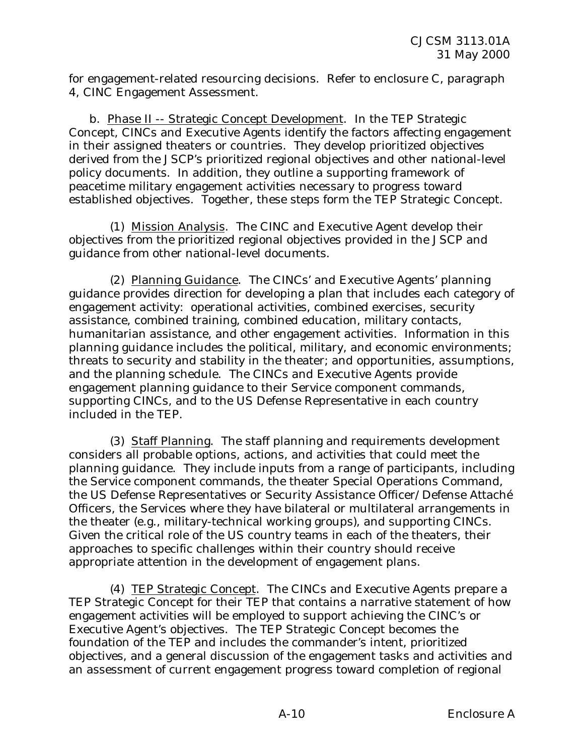for engagement-related resourcing decisions. Refer to enclosure C, paragraph 4, CINC Engagement Assessment.

b. Phase II -- Strategic Concept Development. In the TEP Strategic Concept, CINCs and Executive Agents identify the factors affecting engagement in their assigned theaters or countries. They develop prioritized objectives derived from the JSCP's prioritized regional objectives and other national-level policy documents. In addition, they outline a supporting framework of peacetime military engagement activities necessary to progress toward established objectives. Together, these steps form the TEP Strategic Concept.

(1) Mission Analysis. The CINC and Executive Agent develop their objectives from the prioritized regional objectives provided in the JSCP and guidance from other national-level documents.

(2) Planning Guidance. The CINCs' and Executive Agents' planning guidance provides direction for developing a plan that includes each category of engagement activity: operational activities, combined exercises, security assistance, combined training, combined education, military contacts, humanitarian assistance, and other engagement activities. Information in this planning guidance includes the political, military, and economic environments; threats to security and stability in the theater; and opportunities, assumptions, and the planning schedule. The CINCs and Executive Agents provide engagement planning guidance to their Service component commands, supporting CINCs, and to the US Defense Representative in each country included in the TEP.

(3) Staff Planning. The staff planning and requirements development considers all probable options, actions, and activities that could meet the planning guidance. They include inputs from a range of participants, including the Service component commands, the theater Special Operations Command, the US Defense Representatives or Security Assistance Officer/Defense Attaché Officers, the Services where they have bilateral or multilateral arrangements in the theater (e.g., military-technical working groups), and supporting CINCs. Given the critical role of the US country teams in each of the theaters, their approaches to specific challenges within their country should receive appropriate attention in the development of engagement plans.

(4) TEP Strategic Concept. The CINCs and Executive Agents prepare a TEP Strategic Concept for their TEP that contains a narrative statement of how engagement activities will be employed to support achieving the CINC's or Executive Agent's objectives. The TEP Strategic Concept becomes the foundation of the TEP and includes the commander's intent, prioritized objectives, and a general discussion of the engagement tasks and activities and an assessment of current engagement progress toward completion of regional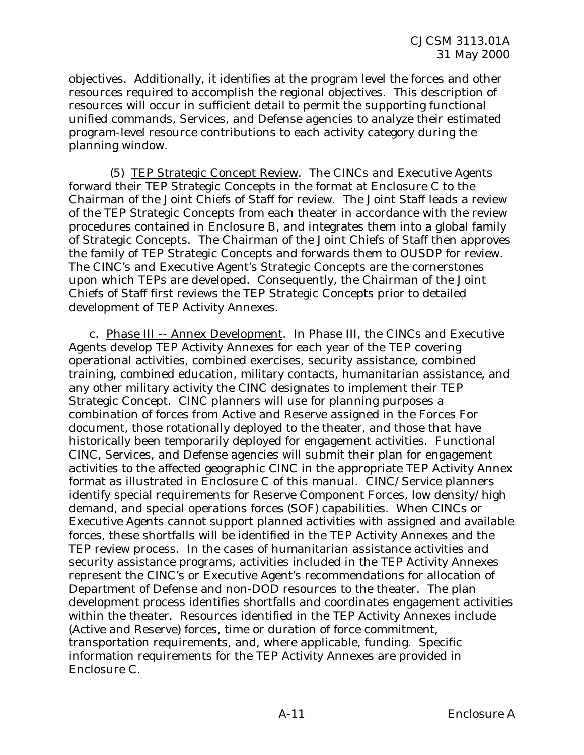objectives. Additionally, it identifies at the program level the forces and other resources required to accomplish the regional objectives. This description of resources will occur in sufficient detail to permit the supporting functional unified commands, Services, and Defense agencies to analyze their estimated program-level resource contributions to each activity category during the planning window.

(5) TEP Strategic Concept Review. The CINCs and Executive Agents forward their TEP Strategic Concepts in the format at Enclosure C to the Chairman of the Joint Chiefs of Staff for review. The Joint Staff leads a review of the TEP Strategic Concepts from each theater in accordance with the review procedures contained in Enclosure B, and integrates them into a global family of Strategic Concepts. The Chairman of the Joint Chiefs of Staff then approves the family of TEP Strategic Concepts and forwards them to OUSDP for review. The CINC's and Executive Agent's Strategic Concepts are the cornerstones upon which TEPs are developed. Consequently, the Chairman of the Joint Chiefs of Staff first reviews the TEP Strategic Concepts prior to detailed development of TEP Activity Annexes.

c. Phase III -- Annex Development. In Phase III, the CINCs and Executive Agents develop TEP Activity Annexes for each year of the TEP covering operational activities, combined exercises, security assistance, combined training, combined education, military contacts, humanitarian assistance, and any other military activity the CINC designates to implement their TEP Strategic Concept. CINC planners will use for planning purposes a combination of forces from Active and Reserve assigned in the Forces For document, those rotationally deployed to the theater, and those that have historically been temporarily deployed for engagement activities. Functional CINC, Services, and Defense agencies will submit their plan for engagement activities to the affected geographic CINC in the appropriate TEP Activity Annex format as illustrated in Enclosure C of this manual. CINC/Service planners identify special requirements for Reserve Component Forces, low density/high demand, and special operations forces (SOF) capabilities. When CINCs or Executive Agents cannot support planned activities with assigned and available forces, these shortfalls will be identified in the TEP Activity Annexes and the TEP review process. In the cases of humanitarian assistance activities and security assistance programs, activities included in the TEP Activity Annexes represent the CINC's or Executive Agent's recommendations for allocation of Department of Defense and non-DOD resources to the theater. The plan development process identifies shortfalls and coordinates engagement activities within the theater. Resources identified in the TEP Activity Annexes include (Active and Reserve) forces, time or duration of force commitment, transportation requirements, and, where applicable, funding. Specific information requirements for the TEP Activity Annexes are provided in Enclosure C.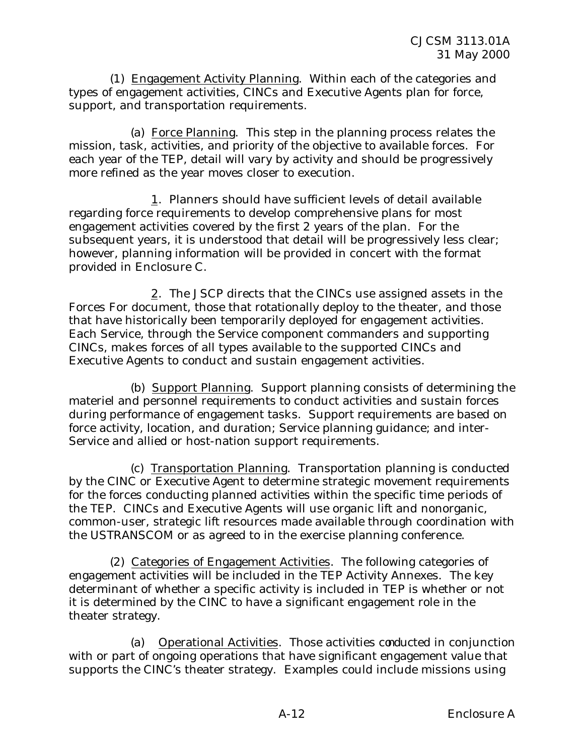(1) Engagement Activity Planning. Within each of the categories and types of engagement activities, CINCs and Executive Agents plan for force, support, and transportation requirements.

(a) Force Planning. This step in the planning process relates the mission, task, activities, and priority of the objective to available forces. For each year of the TEP, detail will vary by activity and should be progressively more refined as the year moves closer to execution.

1. Planners should have sufficient levels of detail available regarding force requirements to develop comprehensive plans for most engagement activities covered by the first 2 years of the plan. For the subsequent years, it is understood that detail will be progressively less clear; however, planning information will be provided in concert with the format provided in Enclosure C.

2. The JSCP directs that the CINCs use assigned assets in the Forces For document, those that rotationally deploy to the theater, and those that have historically been temporarily deployed for engagement activities. Each Service, through the Service component commanders and supporting CINCs, makes forces of all types available to the supported CINCs and Executive Agents to conduct and sustain engagement activities.

(b) Support Planning. Support planning consists of determining the materiel and personnel requirements to conduct activities and sustain forces during performance of engagement tasks. Support requirements are based on force activity, location, and duration; Service planning guidance; and inter-Service and allied or host-nation support requirements.

(c) Transportation Planning. Transportation planning is conducted by the CINC or Executive Agent to determine strategic movement requirements for the forces conducting planned activities within the specific time periods of the TEP. CINCs and Executive Agents will use organic lift and nonorganic, common-user, strategic lift resources made available through coordination with the USTRANSCOM or as agreed to in the exercise planning conference.

(2) Categories of Engagement Activities. The following categories of engagement activities will be included in the TEP Activity Annexes.The key determinant of whether a specific activity is included in TEP is whether or not it is determined by the CINC to have a significant engagement role in the theater strategy.

(a) Operational Activities. Those activities conducted in conjunction with or part of ongoing operations that have significant engagement value that supports the CINC's theater strategy. Examples could include missions using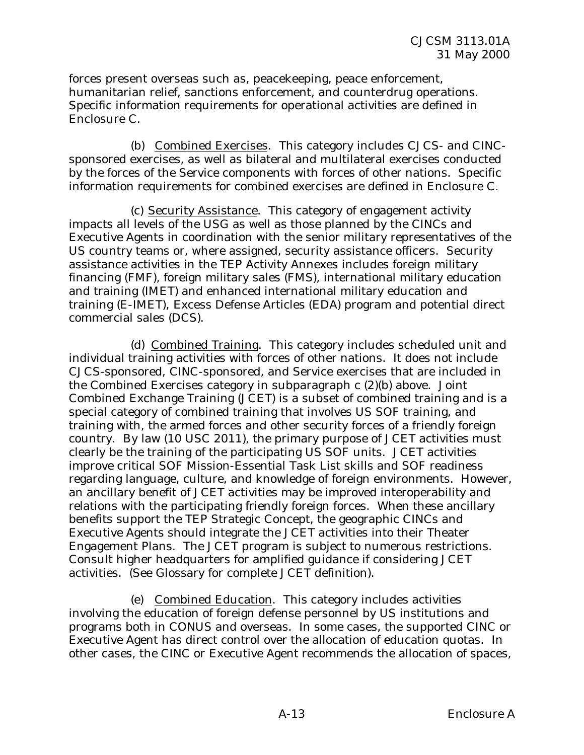forces present overseas such as, peacekeeping, peace enforcement, humanitarian relief, sanctions enforcement, and counterdrug operations. Specific information requirements for operational activities are defined in Enclosure C.

(b) Combined Exercises. This category includes CJCS- and CINCsponsored exercises, as well as bilateral and multilateral exercises conducted by the forces of the Service components with forces of other nations. Specific information requirements for combined exercises are defined in Enclosure C.

(c) Security Assistance. This category of engagement activity impacts all levels of the USG as well as those planned by the CINCs and Executive Agents in coordination with the senior military representatives of the US country teams or, where assigned, security assistance officers. Security assistance activities in the TEP Activity Annexes includes foreign military financing (FMF), foreign military sales (FMS), international military education and training (IMET) and enhanced international military education and training (E-IMET), Excess Defense Articles (EDA) program and potential direct commercial sales (DCS).

(d) Combined Training. This category includes scheduled unit and individual training activities with forces of other nations. It does not include CJCS-sponsored, CINC-sponsored, and Service exercises that are included in the Combined Exercises category in subparagraph c (2)(b) above. Joint Combined Exchange Training (JCET) is a subset of combined training and is a special category of combined training that involves US SOF training, and training with, the armed forces and other security forces of a friendly foreign country. By law (10 USC 2011), the primary purpose of JCET activities must clearly be the training of the participating US SOF units. JCET activities improve critical SOF Mission-Essential Task List skills and SOF readiness regarding language, culture, and knowledge of foreign environments. However, an ancillary benefit of JCET activities may be improved interoperability and relations with the participating friendly foreign forces. When these ancillary benefits support the TEP Strategic Concept, the geographic CINCs and Executive Agents should integrate the JCET activities into their Theater Engagement Plans. The JCET program is subject to numerous restrictions. Consult higher headquarters for amplified guidance if considering JCET activities. (See Glossary for complete JCET definition).

(e) Combined Education. This category includes activities involving the education of foreign defense personnel by US institutions and programs both in CONUS and overseas. In some cases, the supported CINC or Executive Agent has direct control over the allocation of education quotas. In other cases, the CINC or Executive Agent recommends the allocation of spaces,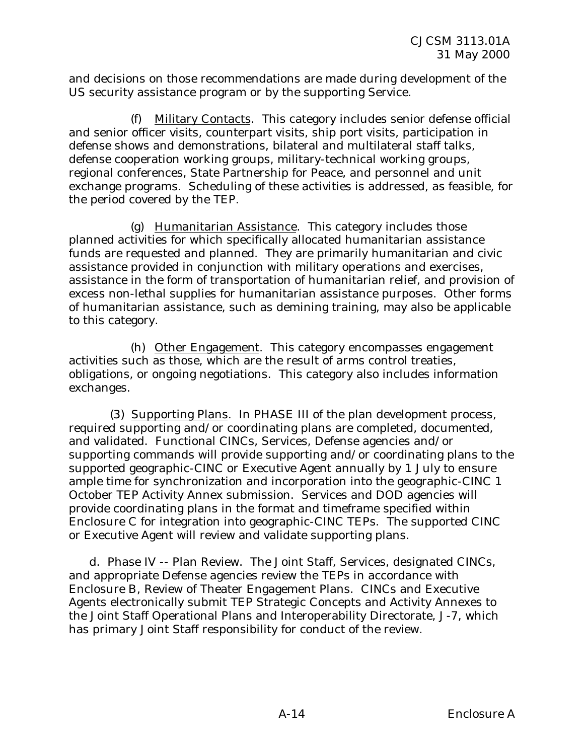and decisions on those recommendations are made during development of the US security assistance program or by the supporting Service.

(f) Military Contacts. This category includes senior defense official and senior officer visits, counterpart visits, ship port visits, participation in defense shows and demonstrations, bilateral and multilateral staff talks, defense cooperation working groups, military-technical working groups, regional conferences, State Partnership for Peace, and personnel and unit exchange programs. Scheduling of these activities is addressed, as feasible, for the period covered by the TEP.

(g) Humanitarian Assistance. This category includes those planned activities for which specifically allocated humanitarian assistance funds are requested and planned. They are primarily humanitarian and civic assistance provided in conjunction with military operations and exercises, assistance in the form of transportation of humanitarian relief, and provision of excess non-lethal supplies for humanitarian assistance purposes. Other forms of humanitarian assistance, such as demining training, may also be applicable to this category.

(h) Other Engagement. This category encompasses engagement activities such as those, which are the result of arms control treaties, obligations, or ongoing negotiations. This category also includes information exchanges.

(3) Supporting Plans. In PHASE III of the plan development process, required supporting and/or coordinating plans are completed, documented, and validated. Functional CINCs, Services, Defense agencies and/or supporting commands will provide supporting and/or coordinating plans to the supported geographic-CINC or Executive Agent annually by 1 July to ensure ample time for synchronization and incorporation into the geographic-CINC 1 October TEP Activity Annex submission. Services and DOD agencies will provide coordinating plans in the format and timeframe specified within Enclosure C for integration into geographic-CINC TEPs. The supported CINC or Executive Agent will review and validate supporting plans.

d. Phase IV -- Plan Review. The Joint Staff, Services, designated CINCs, and appropriate Defense agencies review the TEPs in accordance with Enclosure B, Review of Theater Engagement Plans. CINCs and Executive Agents electronically submit TEP Strategic Concepts and Activity Annexes to the Joint Staff Operational Plans and Interoperability Directorate, J-7, which has primary Joint Staff responsibility for conduct of the review.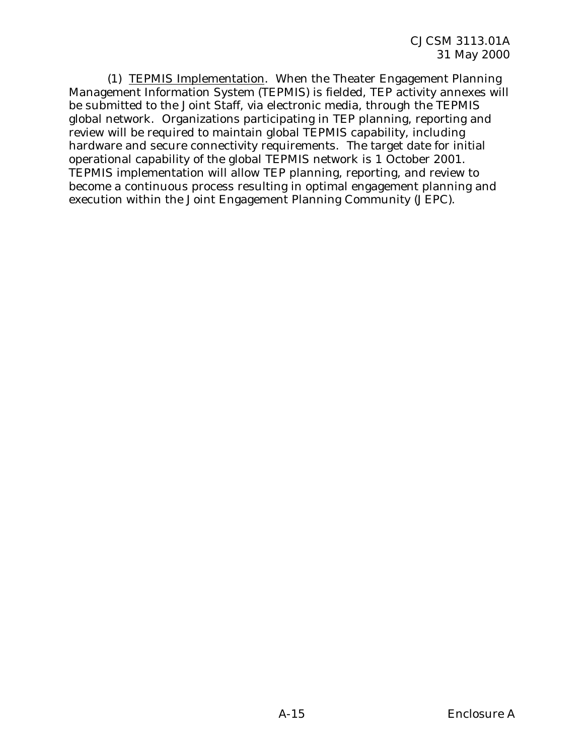(1) TEPMIS Implementation. When the Theater Engagement Planning Management Information System (TEPMIS) is fielded, TEP activity annexes will be submitted to the Joint Staff, via electronic media, through the TEPMIS global network. Organizations participating in TEP planning, reporting and review will be required to maintain global TEPMIS capability, including hardware and secure connectivity requirements. The target date for initial operational capability of the global TEPMIS network is 1 October 2001. TEPMIS implementation will allow TEP planning, reporting, and review to become a continuous process resulting in optimal engagement planning and execution within the Joint Engagement Planning Community (JEPC).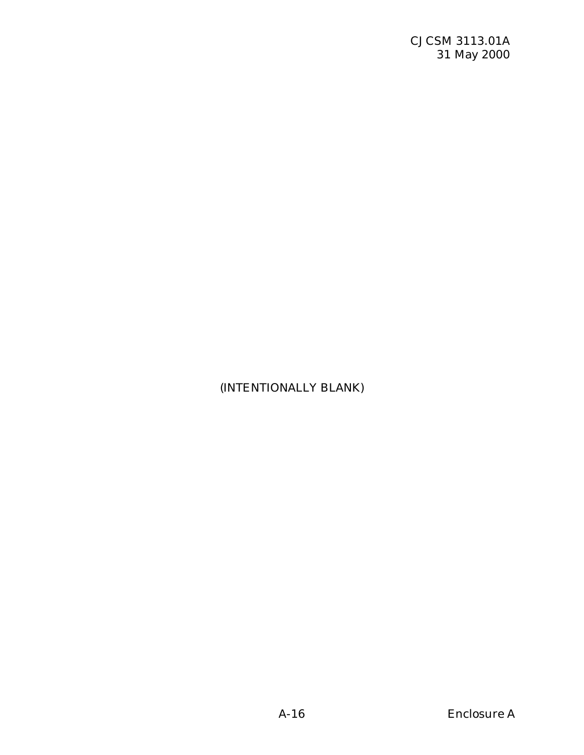# CJCSM 3113.01A 31 May 2000

# (INTENTIONALLY BLANK)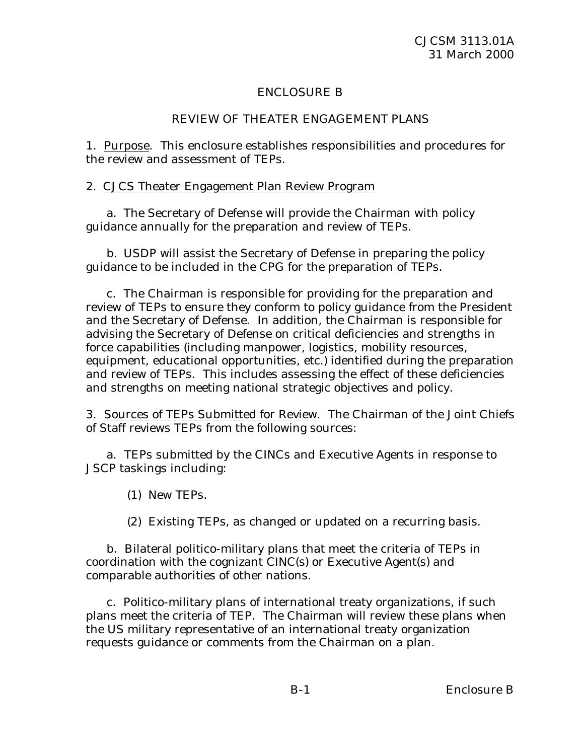### ENCLOSURE B

### REVIEW OF THEATER ENGAGEMENT PLANS

<span id="page-28-0"></span>1. Purpose. This enclosure establishes responsibilities and procedures for the review and assessment of TEPs.

### 2. CJCS Theater Engagement Plan Review Program

a. The Secretary of Defense will provide the Chairman with policy guidance annually for the preparation and review of TEPs.

b. USDP will assist the Secretary of Defense in preparing the policy guidance to be included in the CPG for the preparation of TEPs.

c. The Chairman is responsible for providing for the preparation and review of TEPs to ensure they conform to policy guidance from the President and the Secretary of Defense. In addition, the Chairman is responsible for advising the Secretary of Defense on critical deficiencies and strengths in force capabilities (including manpower, logistics, mobility resources, equipment, educational opportunities, etc.) identified during the preparation and review of TEPs. This includes assessing the effect of these deficiencies and strengths on meeting national strategic objectives and policy.

3. Sources of TEPs Submitted for Review. The Chairman of the Joint Chiefs of Staff reviews TEPs from the following sources:

a. TEPs submitted by the CINCs and Executive Agents in response to JSCP taskings including:

(1) New TEPs.

(2) Existing TEPs, as changed or updated on a recurring basis.

b. Bilateral politico-military plans that meet the criteria of TEPs in coordination with the cognizant CINC(s) or Executive Agent(s) and comparable authorities of other nations.

c. Politico-military plans of international treaty organizations, if such plans meet the criteria of TEP. The Chairman will review these plans when the US military representative of an international treaty organization requests guidance or comments from the Chairman on a plan.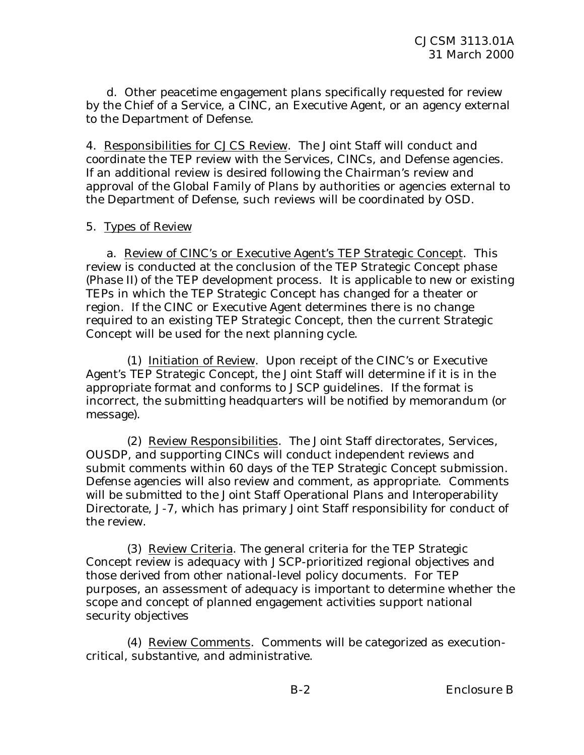d. Other peacetime engagement plans specifically requested for review by the Chief of a Service, a CINC, an Executive Agent, or an agency external to the Department of Defense.

4. Responsibilities for CJCS Review. The Joint Staff will conduct and coordinate the TEP review with the Services, CINCs, and Defense agencies. If an additional review is desired following the Chairman's review and approval of the Global Family of Plans by authorities or agencies external to the Department of Defense, such reviews will be coordinated by OSD.

#### 5. Types of Review

a. Review of CINC's or Executive Agent's TEP Strategic Concept. This review is conducted at the conclusion of the TEP Strategic Concept phase (Phase II) of the TEP development process. It is applicable to new or existing TEPs in which the TEP Strategic Concept has changed for a theater or region. If the CINC or Executive Agent determines there is no change required to an existing TEP Strategic Concept, then the current Strategic Concept will be used for the next planning cycle.

(1) Initiation of Review. Upon receipt of the CINC's or Executive Agent's TEP Strategic Concept, the Joint Staff will determine if it is in the appropriate format and conforms to JSCP guidelines. If the format is incorrect, the submitting headquarters will be notified by memorandum (or message).

(2) Review Responsibilities. The Joint Staff directorates, Services, OUSDP, and supporting CINCs will conduct independent reviews and submit comments within 60 days of the TEP Strategic Concept submission. Defense agencies will also review and comment, as appropriate. Comments will be submitted to the Joint Staff Operational Plans and Interoperability Directorate, J-7, which has primary Joint Staff responsibility for conduct of the review.

(3) Review Criteria. The general criteria for the TEP Strategic Concept review is adequacy with JSCP-prioritized regional objectives and those derived from other national-level policy documents. For TEP purposes, an assessment of adequacy is important to determine whether the scope and concept of planned engagement activities support national security objectives

(4) Review Comments. Comments will be categorized as executioncritical, substantive, and administrative.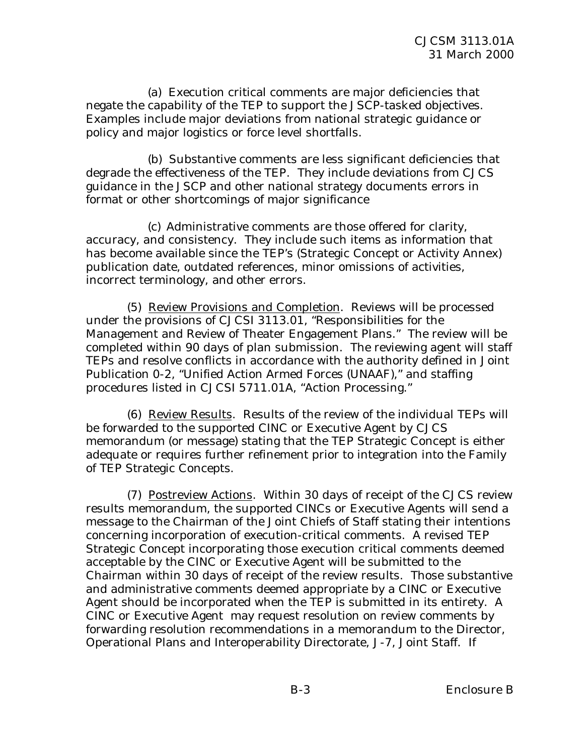(a) Execution critical comments are major deficiencies that negate the capability of the TEP to support the JSCP-tasked objectives. Examples include major deviations from national strategic guidance or policy and major logistics or force level shortfalls.

(b) Substantive comments are less significant deficiencies that degrade the effectiveness of the TEP. They include deviations from CJCS guidance in the JSCP and other national strategy documents errors in format or other shortcomings of major significance

(c) Administrative comments are those offered for clarity, accuracy, and consistency. They include such items as information that has become available since the TEP's (Strategic Concept or Activity Annex) publication date, outdated references, minor omissions of activities, incorrect terminology, and other errors.

(5) Review Provisions and Completion. Reviews will be processed under the provisions of CJCSI 3113.01, "Responsibilities for the Management and Review of Theater Engagement Plans." The review will be completed within 90 days of plan submission. The reviewing agent will staff TEPs and resolve conflicts in accordance with the authority defined in Joint Publication 0-2, "Unified Action Armed Forces (UNAAF)," and staffing procedures listed in CJCSI 5711.01A, "Action Processing."

(6) Review Results. Results of the review of the individual TEPs will be forwarded to the supported CINC or Executive Agent by CJCS memorandum (or message) stating that the TEP Strategic Concept is either adequate or requires further refinement prior to integration into the Family of TEP Strategic Concepts.

(7) Postreview Actions. Within 30 days of receipt of the CJCS review results memorandum, the supported CINCs or Executive Agents will send a message to the Chairman of the Joint Chiefs of Staff stating their intentions concerning incorporation of execution-critical comments. A revised TEP Strategic Concept incorporating those execution critical comments deemed acceptable by the CINC or Executive Agent will be submitted to the Chairman within 30 days of receipt of the review results. Those substantive and administrative comments deemed appropriate by a CINC or Executive Agent should be incorporated when the TEP is submitted in its entirety. A CINC or Executive Agent may request resolution on review comments by forwarding resolution recommendations in a memorandum to the Director, Operational Plans and Interoperability Directorate, J-7, Joint Staff. If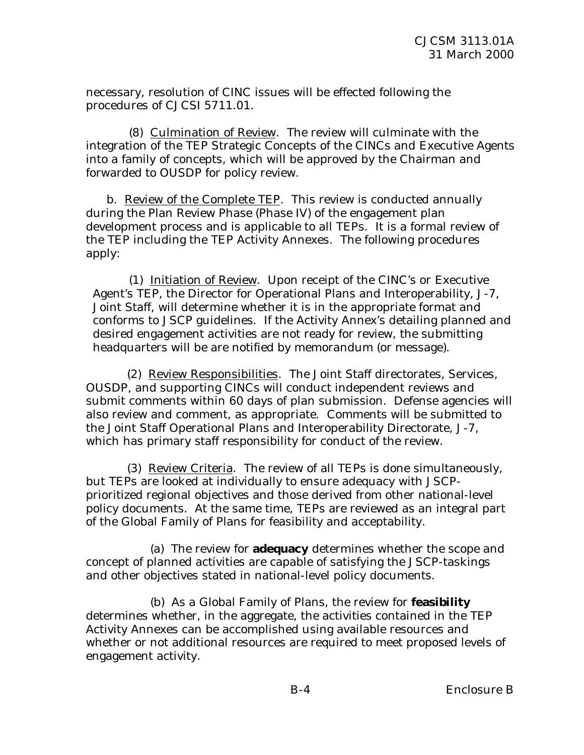necessary, resolution of CINC issues will be effected following the procedures of CJCSI 5711.01.

(8) Culmination of Review. The review will culminate with the integration of the TEP Strategic Concepts of the CINCs and Executive Agents into a family of concepts, which will be approved by the Chairman and forwarded to OUSDP for policy review.

b. Review of the Complete TEP. This review is conducted annually during the Plan Review Phase (Phase IV) of the engagement plan development process and is applicable to all TEPs. It is a formal review of the TEP including the TEP Activity Annexes. The following procedures apply:

(1) Initiation of Review. Upon receipt of the CINC's or Executive Agent's TEP, the Director for Operational Plans and Interoperability, J-7, Joint Staff, will determine whether it is in the appropriate format and conforms to JSCP guidelines. If the Activity Annex's detailing planned and desired engagement activities are not ready for review, the submitting headquarters will be are notified by memorandum (or message).

(2) Review Responsibilities. The Joint Staff directorates, Services, OUSDP, and supporting CINCs will conduct independent reviews and submit comments within 60 days of plan submission. Defense agencies will also review and comment, as appropriate. Comments will be submitted to the Joint Staff Operational Plans and Interoperability Directorate, J-7, which has primary staff responsibility for conduct of the review.

(3) Review Criteria. The review of all TEPs is done simultaneously, but TEPs are looked at individually to ensure adequacy with JSCPprioritized regional objectives and those derived from other national-level policy documents. At the same time, TEPs are reviewed as an integral part of the Global Family of Plans for feasibility and acceptability.

(a) The review for **adequacy** determines whether the scope and concept of planned activities are capable of satisfying the JSCP-taskings and other objectives stated in national-level policy documents.

(b) As a Global Family of Plans, the review for **feasibility** determines whether, in the aggregate, the activities contained in the TEP Activity Annexes can be accomplished using available resources and whether or not additional resources are required to meet proposed levels of engagement activity.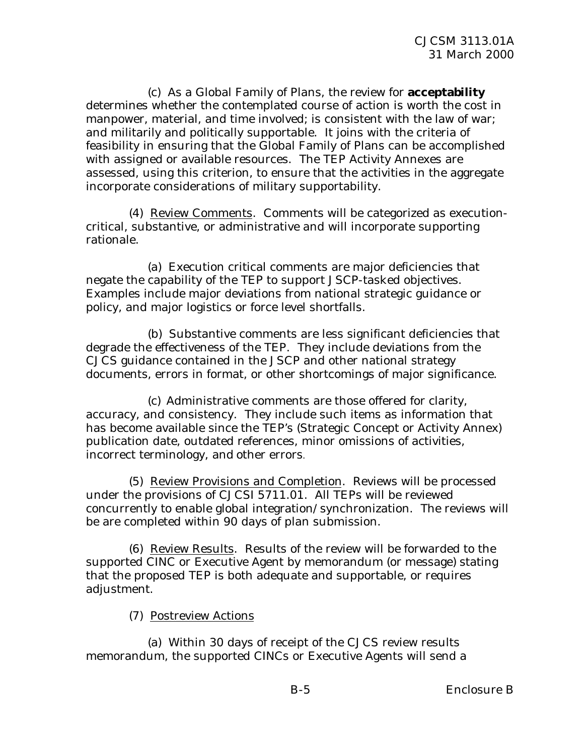(c) As a Global Family of Plans, the review for **acceptability** determines whether the contemplated course of action is worth the cost in manpower, material, and time involved; is consistent with the law of war; and militarily and politically supportable. It joins with the criteria of feasibility in ensuring that the Global Family of Plans can be accomplished with assigned or available resources. The TEP Activity Annexes are assessed, using this criterion, to ensure that the activities in the aggregate incorporate considerations of military supportability.

(4) Review Comments. Comments will be categorized as executioncritical, substantive, or administrative and will incorporate supporting rationale.

(a) Execution critical comments are major deficiencies that negate the capability of the TEP to support JSCP-tasked objectives. Examples include major deviations from national strategic guidance or policy, and major logistics or force level shortfalls.

(b) Substantive comments are less significant deficiencies that degrade the effectiveness of the TEP. They include deviations from the CJCS guidance contained in the JSCP and other national strategy documents, errors in format, or other shortcomings of major significance.

(c) Administrative comments are those offered for clarity, accuracy, and consistency. They include such items as information that has become available since the TEP's (Strategic Concept or Activity Annex) publication date, outdated references, minor omissions of activities, incorrect terminology, and other errors.

(5) Review Provisions and Completion. Reviews will be processed under the provisions of CJCSI 5711.01. All TEPs will be reviewed concurrently to enable global integration/synchronization. The reviews will be are completed within 90 days of plan submission.

(6) Review Results. Results of the review will be forwarded to the supported CINC or Executive Agent by memorandum (or message) stating that the proposed TEP is both adequate and supportable, or requires adiustment.

(7) Postreview Actions

(a) Within 30 days of receipt of the CJCS review results memorandum, the supported CINCs or Executive Agents will send a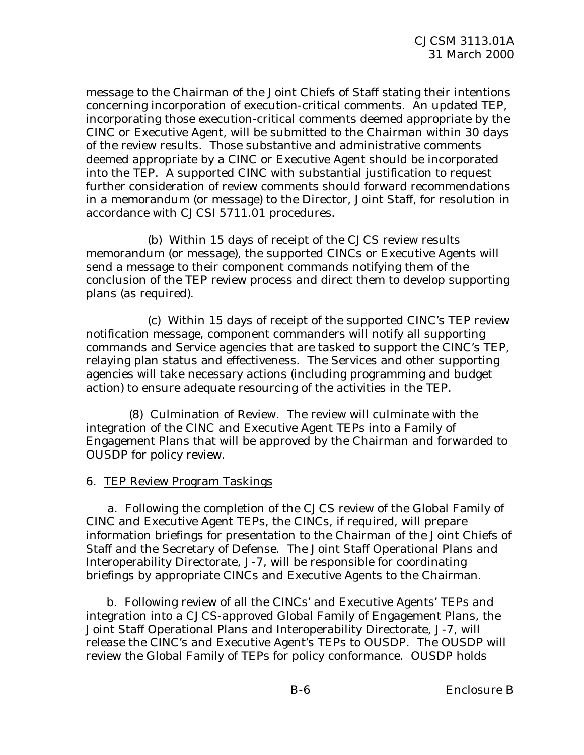message to the Chairman of the Joint Chiefs of Staff stating their intentions concerning incorporation of execution-critical comments. An updated TEP, incorporating those execution-critical comments deemed appropriate by the CINC or Executive Agent, will be submitted to the Chairman within 30 days of the review results. Those substantive and administrative comments deemed appropriate by a CINC or Executive Agent should be incorporated into the TEP. A supported CINC with substantial justification to request further consideration of review comments should forward recommendations in a memorandum (or message) to the Director, Joint Staff, for resolution in accordance with CJCSI 5711.01 procedures.

(b) Within 15 days of receipt of the CJCS review results memorandum (or message), the supported CINCs or Executive Agents will send a message to their component commands notifying them of the conclusion of the TEP review process and direct them to develop supporting plans (as required).

(c) Within 15 days of receipt of the supported CINC's TEP review notification message, component commanders will notify all supporting commands and Service agencies that are tasked to support the CINC's TEP, relaying plan status and effectiveness. The Services and other supporting agencies will take necessary actions (including programming and budget action) to ensure adequate resourcing of the activities in the TEP.

(8) Culmination of Review. The review will culminate with the integration of the CINC and Executive Agent TEPs into a Family of Engagement Plans that will be approved by the Chairman and forwarded to OUSDP for policy review.

#### 6. TEP Review Program Taskings

a. Following the completion of the CJCS review of the Global Family of CINC and Executive Agent TEPs, the CINCs, if required, will prepare information briefings for presentation to the Chairman of the Joint Chiefs of Staff and the Secretary of Defense. The Joint Staff Operational Plans and Interoperability Directorate, J-7, will be responsible for coordinating briefings by appropriate CINCs and Executive Agents to the Chairman.

b. Following review of all the CINCs' and Executive Agents' TEPs and integration into a CJCS-approved Global Family of Engagement Plans, the Joint Staff Operational Plans and Interoperability Directorate, J-7, will release the CINC's and Executive Agent's TEPs to OUSDP. The OUSDP will review the Global Family of TEPs for policy conformance. OUSDP holds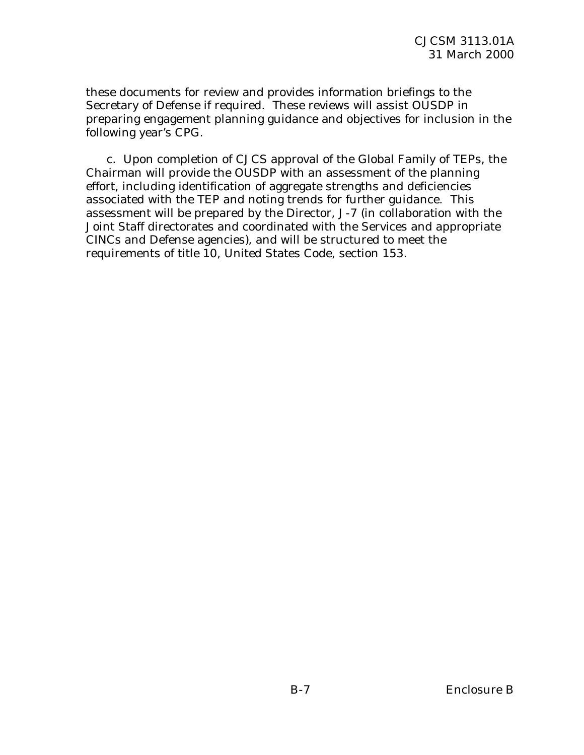these documents for review and provides information briefings to the Secretary of Defense if required. These reviews will assist OUSDP in preparing engagement planning guidance and objectives for inclusion in the following year's CPG.

c. Upon completion of CJCS approval of the Global Family of TEPs, the Chairman will provide the OUSDP with an assessment of the planning effort, including identification of aggregate strengths and deficiencies associated with the TEP and noting trends for further guidance. This assessment will be prepared by the Director, J-7 (in collaboration with the Joint Staff directorates and coordinated with the Services and appropriate CINCs and Defense agencies), and will be structured to meet the requirements of title 10, United States Code, section 153.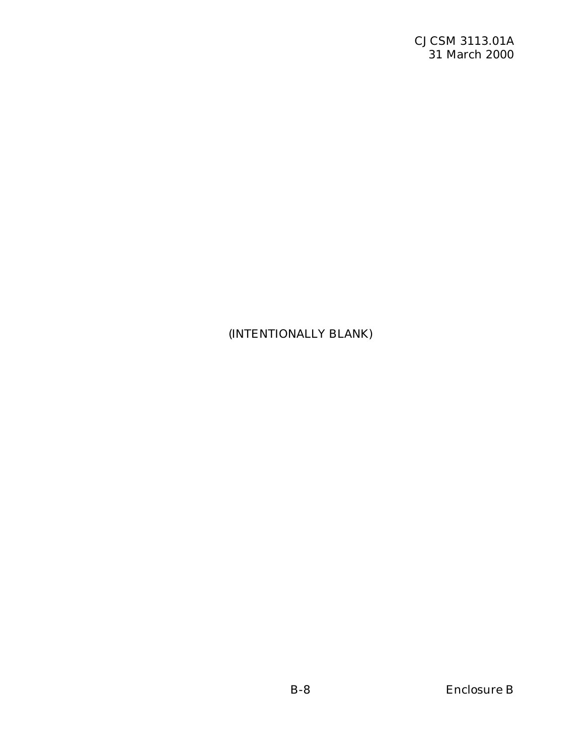# CJCSM 3113.01A 31 March 2000

# (INTENTIONALLY BLANK)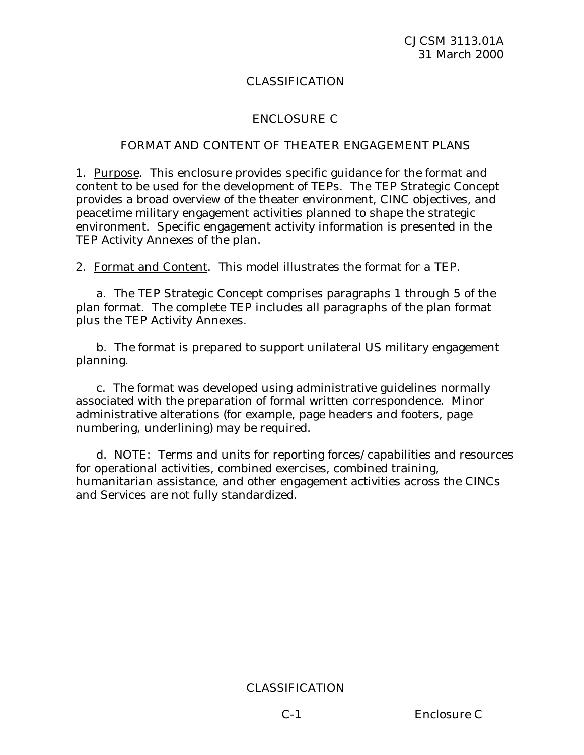#### ENCLOSURE C

#### FORMAT AND CONTENT OF THEATER ENGAGEMENT PLANS

<span id="page-36-0"></span>1. Purpose. This enclosure provides specific guidance for the format and content to be used for the development of TEPs. The TEP Strategic Concept provides a broad overview of the theater environment, CINC objectives, and peacetime military engagement activities planned to shape the strategic environment. Specific engagement activity information is presented in the TEP Activity Annexes of the plan.

2. Format and Content. This model illustrates the format for a TEP.

a. The TEP Strategic Concept comprises paragraphs 1 through 5 of the plan format. The complete TEP includes all paragraphs of the plan format plus the TEP Activity Annexes.

b. The format is prepared to support unilateral US military engagement planning.

c. The format was developed using administrative guidelines normally associated with the preparation of formal written correspondence. Minor administrative alterations (for example, page headers and footers, page numbering, underlining) may be required.

d. NOTE: Terms and units for reporting forces/capabilities and resources for operational activities, combined exercises, combined training, humanitarian assistance, and other engagement activities across the CINCs and Services are not fully standardized.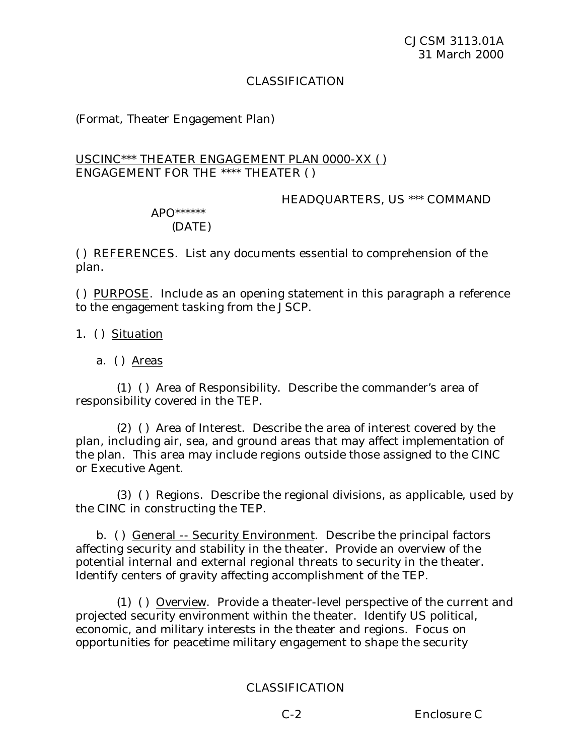#### (Format, Theater Engagement Plan)

#### USCINC\*\*\* THEATER ENGAGEMENT PLAN 0000-XX ( ) ENGAGEMENT FOR THE \*\*\*\* THEATER ( )

HEADQUARTERS, US \*\*\* COMMAND

#### APO\*\*\*\*\*\* (DATE)

( ) REFERENCES. List any documents essential to comprehension of the plan.

( ) PURPOSE. Include as an opening statement in this paragraph a reference to the engagement tasking from the JSCP.

1. ( ) Situation

a. ( ) Areas

(1) ( ) Area of Responsibility. Describe the commander's area of responsibility covered in the TEP.

(2) ( ) Area of Interest. Describe the area of interest covered by the plan, including air, sea, and ground areas that may affect implementation of the plan. This area may include regions outside those assigned to the CINC or Executive Agent.

(3) ( ) Regions. Describe the regional divisions, as applicable, used by the CINC in constructing the TEP.

b. ( ) General -- Security Environment. Describe the principal factors affecting security and stability in the theater. Provide an overview of the potential internal and external regional threats to security in the theater. Identify centers of gravity affecting accomplishment of the TEP.

(1) ( ) Overview. Provide a theater-level perspective of the current and projected security environment within the theater. Identify US political, economic, and military interests in the theater and regions. Focus on opportunities for peacetime military engagement to shape the security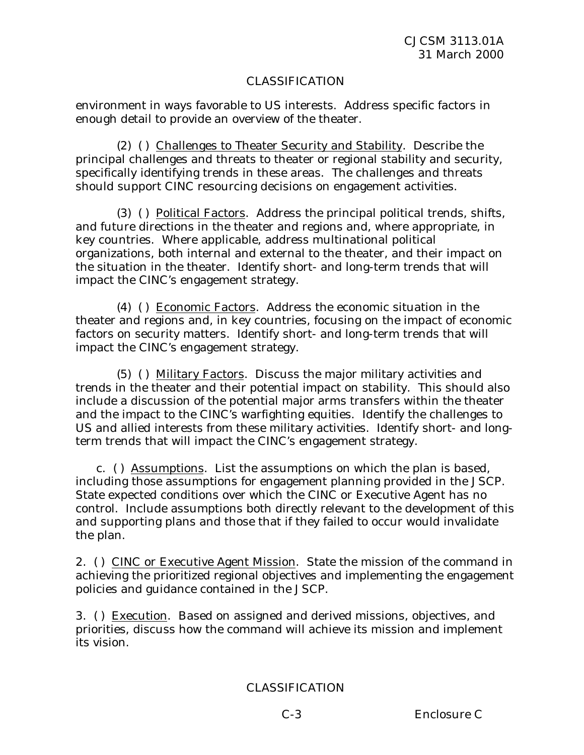environment in ways favorable to US interests. Address specific factors in enough detail to provide an overview of the theater.

(2) ( ) Challenges to Theater Security and Stability. Describe the principal challenges and threats to theater or regional stability and security, specifically identifying trends in these areas. The challenges and threats should support CINC resourcing decisions on engagement activities.

(3) ( ) Political Factors. Address the principal political trends, shifts, and future directions in the theater and regions and, where appropriate, in key countries. Where applicable, address multinational political organizations, both internal and external to the theater, and their impact on the situation in the theater. Identify short- and long-term trends that will impact the CINC's engagement strategy.

(4) ( ) Economic Factors. Address the economic situation in the theater and regions and, in key countries, focusing on the impact of economic factors on security matters. Identify short- and long-term trends that will impact the CINC's engagement strategy.

(5) ( ) Military Factors. Discuss the major military activities and trends in the theater and their potential impact on stability. This should also include a discussion of the potential major arms transfers within the theater and the impact to the CINC's warfighting equities. Identify the challenges to US and allied interests from these military activities. Identify short- and longterm trends that will impact the CINC's engagement strategy.

c. ( ) Assumptions. List the assumptions on which the plan is based, including those assumptions for engagement planning provided in the JSCP. State expected conditions over which the CINC or Executive Agent has no control. Include assumptions both directly relevant to the development of this and supporting plans and those that if they failed to occur would invalidate the plan.

2. ( ) CINC or Executive Agent Mission. State the mission of the command in achieving the prioritized regional objectives and implementing the engagement policies and guidance contained in the JSCP.

3. ( ) Execution. Based on assigned and derived missions, objectives, and priorities, discuss how the command will achieve its mission and implement its vision.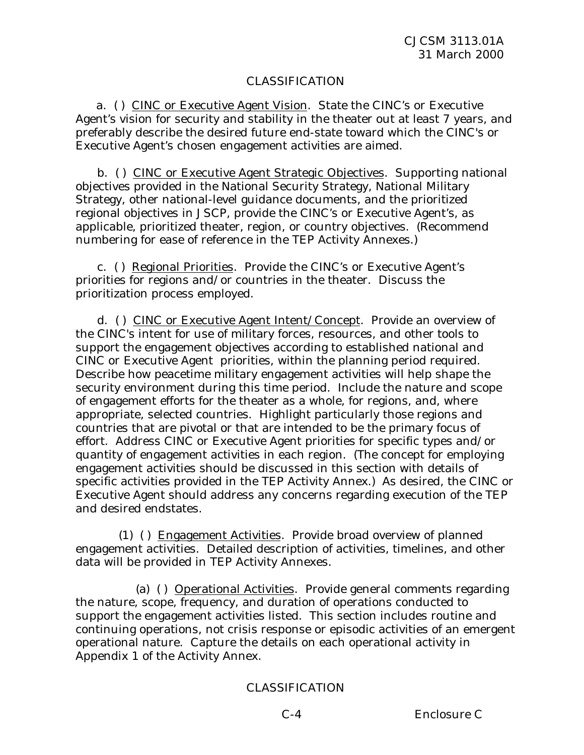a. ( ) CINC or Executive Agent Vision. State the CINC's or Executive Agent's vision for security and stability in the theater out at least 7 years, and preferably describe the desired future end-state toward which the CINC's or Executive Agent's chosen engagement activities are aimed.

b. () CINC or Executive Agent Strategic Objectives. Supporting national objectives provided in the National Security Strategy, National Military Strategy, other national-level guidance documents, and the prioritized regional objectives in JSCP, provide the CINC's or Executive Agent's, as applicable, prioritized theater, region, or country objectives. (Recommend numbering for ease of reference in the TEP Activity Annexes.)

c. ( ) Regional Priorities. Provide the CINC's or Executive Agent's priorities for regions and/or countries in the theater. Discuss the prioritization process employed.

d. ( ) CINC or Executive Agent Intent/Concept. Provide an overview of the CINC's intent for use of military forces, resources, and other tools to support the engagement objectives according to established national and CINC or Executive Agent priorities, within the planning period required. Describe how peacetime military engagement activities will help shape the security environment during this time period. Include the nature and scope of engagement efforts for the theater as a whole, for regions, and, where appropriate, selected countries. Highlight particularly those regions and countries that are pivotal or that are intended to be the primary focus of effort. Address CINC or Executive Agent priorities for specific types and/or quantity of engagement activities in each region. (The concept for employing engagement activities should be discussed in this section with details of specific activities provided in the TEP Activity Annex.) As desired, the CINC or Executive Agent should address any concerns regarding execution of the TEP and desired endstates.

(1) ( ) Engagement Activities. Provide broad overview of planned engagement activities. Detailed description of activities, timelines, and other data will be provided in TEP Activity Annexes.

(a) ( ) Operational Activities. Provide general comments regarding the nature, scope, frequency, and duration of operations conducted to support the engagement activities listed. This section includes routine and continuing operations, not crisis response or episodic activities of an emergent operational nature. Capture the details on each operational activity in Appendix 1 of the Activity Annex.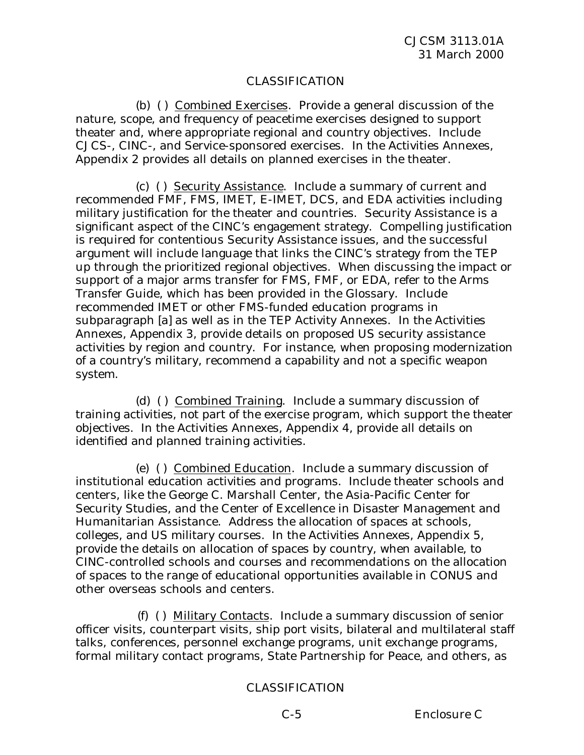(b) ( ) Combined Exercises. Provide a general discussion of the nature, scope, and frequency of peacetime exercises designed to support theater and, where appropriate regional and country objectives. Include CJCS-, CINC-, and Service-sponsored exercises. In the Activities Annexes, Appendix 2 provides all details on planned exercises in the theater.

(c) ( ) Security Assistance. Include a summary of current and recommended FMF, FMS, IMET, E-IMET, DCS, and EDA activities including military justification for the theater and countries. Security Assistance is a significant aspect of the CINC's engagement strategy. Compelling justification is required for contentious Security Assistance issues, and the successful argument will include language that links the CINC's strategy from the TEP up through the prioritized regional objectives. When discussing the impact or support of a major arms transfer for FMS, FMF, or EDA, refer to the Arms Transfer Guide, which has been provided in the Glossary. Include recommended IMET or other FMS-funded education programs in subparagraph [a] as well as in the TEP Activity Annexes. In the Activities Annexes, Appendix 3, provide details on proposed US security assistance activities by region and country. For instance, when proposing modernization of a country's military, recommend a capability and not a specific weapon system.

(d) ( ) Combined Training. Include a summary discussion of training activities, not part of the exercise program, which support the theater objectives. In the Activities Annexes, Appendix 4, provide all details on identified and planned training activities.

(e) ( ) Combined Education. Include a summary discussion of institutional education activities and programs. Include theater schools and centers, like the George C. Marshall Center, the Asia-Pacific Center for Security Studies, and the Center of Excellence in Disaster Management and Humanitarian Assistance. Address the allocation of spaces at schools, colleges, and US military courses. In the Activities Annexes, Appendix 5, provide the details on allocation of spaces by country, when available, to CINC-controlled schools and courses and recommendations on the allocation of spaces to the range of educational opportunities available in CONUS and other overseas schools and centers.

(f) ( ) Military Contacts. Include a summary discussion of senior officer visits, counterpart visits, ship port visits, bilateral and multilateral staff talks, conferences, personnel exchange programs, unit exchange programs, formal military contact programs, State Partnership for Peace, and others, as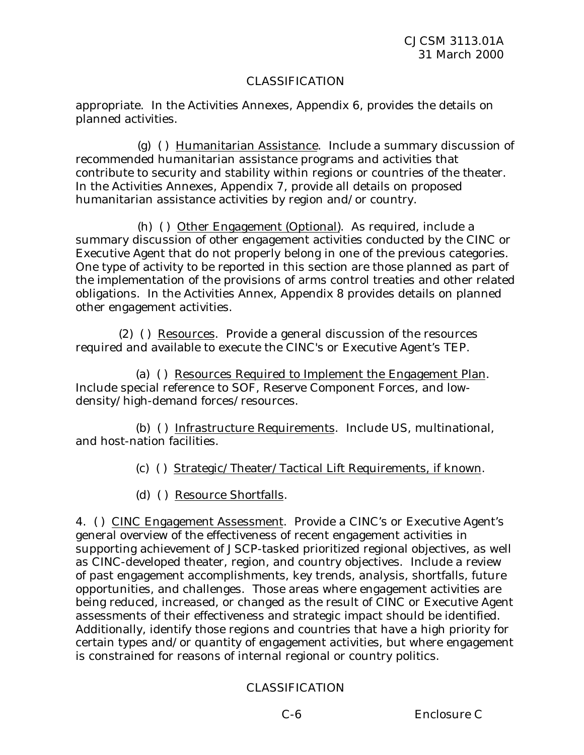appropriate. In the Activities Annexes, Appendix 6, provides the details on planned activities.

(g) ( ) Humanitarian Assistance. Include a summary discussion of recommended humanitarian assistance programs and activities that contribute to security and stability within regions or countries of the theater. In the Activities Annexes, Appendix 7, provide all details on proposed humanitarian assistance activities by region and/or country.

(h) ( ) Other Engagement (Optional). As required, include a summary discussion of other engagement activities conducted by the CINC or Executive Agent that do not properly belong in one of the previous categories. One type of activity to be reported in this section are those planned as part of the implementation of the provisions of arms control treaties and other related obligations. In the Activities Annex, Appendix 8 provides details on planned other engagement activities.

 $(2)$  ( ) Resources. Provide a general discussion of the resources required and available to execute the CINC's or Executive Agent's TEP.

(a) ( ) Resources Required to Implement the Engagement Plan. Include special reference to SOF, Reserve Component Forces, and lowdensity/high-demand forces/resources.

(b) ( ) Infrastructure Requirements. Include US, multinational, and host-nation facilities.

- (c) ( ) Strategic/Theater/Tactical Lift Requirements, if known.
- (d) ( ) Resource Shortfalls.

4. ( ) CINC Engagement Assessment. Provide a CINC's or Executive Agent's general overview of the effectiveness of recent engagement activities in supporting achievement of JSCP-tasked prioritized regional objectives, as well as CINC-developed theater, region, and country objectives. Include a review of past engagement accomplishments, key trends, analysis, shortfalls, future opportunities, and challenges. Those areas where engagement activities are being reduced, increased, or changed as the result of CINC or Executive Agent assessments of their effectiveness and strategic impact should be identified. Additionally, identify those regions and countries that have a high priority for certain types and/or quantity of engagement activities, but where engagement is constrained for reasons of internal regional or country politics.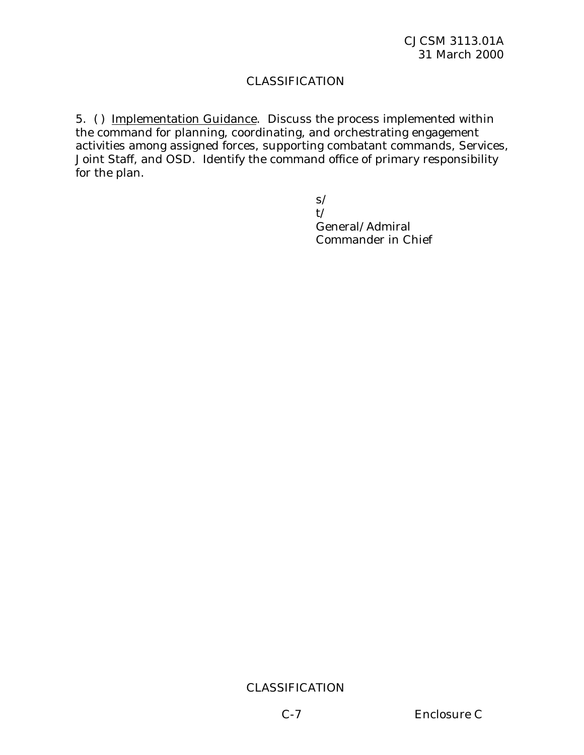5. () Implementation Guidance. Discuss the process implemented within the command for planning, coordinating, and orchestrating engagement activities among assigned forces, supporting combatant commands, Services, Joint Staff, and OSD. Identify the command office of primary responsibility for the plan.

> s/ t/ General/Admiral Commander in Chief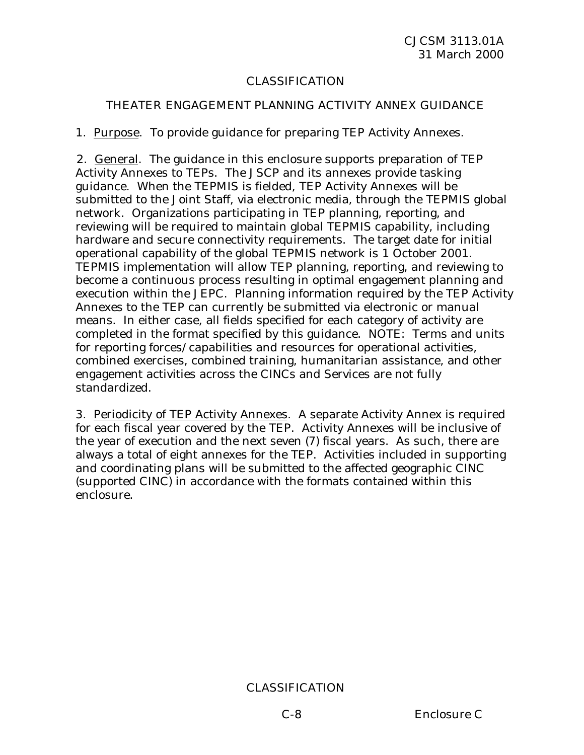### THEATER ENGAGEMENT PLANNING ACTIVITY ANNEX GUIDANCE

1. Purpose. To provide guidance for preparing TEP Activity Annexes.

2. General. The guidance in this enclosure supports preparation of TEP Activity Annexes to TEPs. The JSCP and its annexes provide tasking guidance. When the TEPMIS is fielded, TEP Activity Annexes will be submitted to the Joint Staff, via electronic media, through the TEPMIS global network. Organizations participating in TEP planning, reporting, and reviewing will be required to maintain global TEPMIS capability, including hardware and secure connectivity requirements. The target date for initial operational capability of the global TEPMIS network is 1 October 2001. TEPMIS implementation will allow TEP planning, reporting, and reviewing to become a continuous process resulting in optimal engagement planning and execution within the JEPC. Planning information required by the TEP Activity Annexes to the TEP can currently be submitted via electronic or manual means. In either case, all fields specified for each category of activity are completed in the format specified by this guidance. NOTE: Terms and units for reporting forces/capabilities and resources for operational activities, combined exercises, combined training, humanitarian assistance, and other engagement activities across the CINCs and Services are not fully standardized.

3. Periodicity of TEP Activity Annexes. A separate Activity Annex is required for each fiscal year covered by the TEP. Activity Annexes will be inclusive of the year of execution and the next seven (7) fiscal years. As such, there are always a total of eight annexes for the TEP. Activities included in supporting and coordinating plans will be submitted to the affected geographic CINC (supported CINC) in accordance with the formats contained within this enclosure.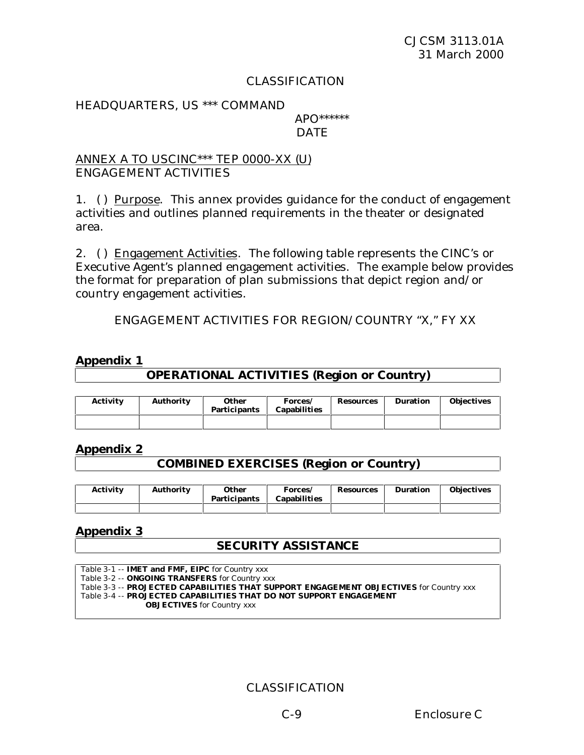#### HEADQUARTERS, US \*\*\* COMMAND

### APO\*\*\*\*\*\*

### **DATE**

### ANNEX A TO USCINC\*\*\* TEP 0000-XX (U) ENGAGEMENT ACTIVITIES

1. () Purpose. This annex provides guidance for the conduct of engagement activities and outlines planned requirements in the theater or designated area.

2. ( ) Engagement Activities. The following table represents the CINC's or Executive Agent's planned engagement activities. The example below provides the format for preparation of plan submissions that depict region and/or country engagement activities.

ENGAGEMENT ACTIVITIES FOR REGION/COUNTRY "X," FY XX

#### **Appendix 1**

#### **OPERATIONAL ACTIVITIES (Region or Country)**

| Activity | <b>Authority</b> | <b>Other</b><br><b>Participants</b> |  | <b>Resources</b> | <b>Duration</b> | <b>Objectives</b> |
|----------|------------------|-------------------------------------|--|------------------|-----------------|-------------------|
|          |                  |                                     |  |                  |                 |                   |

#### **Appendix 2**

#### **COMBINED EXERCISES (Region or Country)**

| Activity | Authority | Other<br><b>Participants</b> | Forces/<br><b>Capabilities</b> | <b>Resources</b> | <b>Duration</b> | <b>Objectives</b> |
|----------|-----------|------------------------------|--------------------------------|------------------|-----------------|-------------------|
|          |           |                              |                                |                  |                 |                   |

#### **Appendix 3**

### **SECURITY ASSISTANCE**

```
Table 3-1 -- IMET and FMF, EIPC for Country xxx
Table 3-2 -- ONGOING TRANSFERS for Country xxx
Table 3-3 -- PROJECTED CAPABILITIES THAT SUPPORT ENGAGEMENT OBJECTIVES for Country xxx
Table 3-4 -- PROJECTED CAPABILITIES THAT DO NOT SUPPORT ENGAGEMENT
               OBJECTIVES for Country xxx
```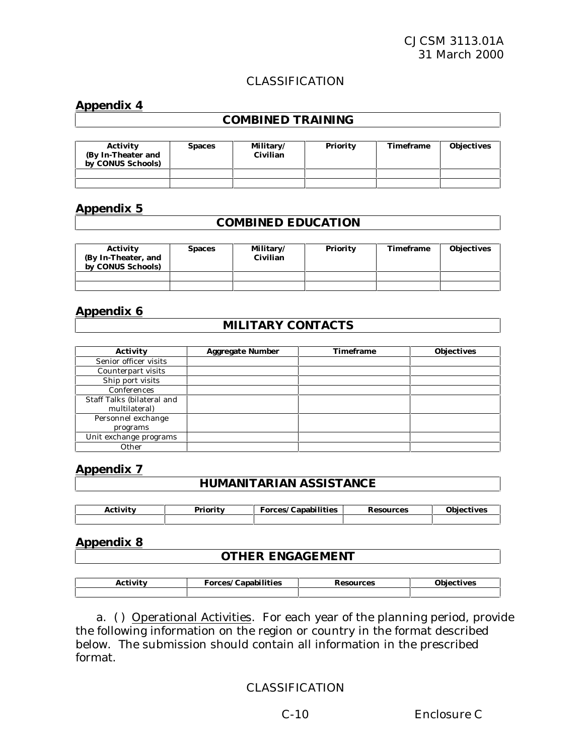### **Appendix 4**

#### **COMBINED TRAINING**

| <b>Activity</b><br>(By In-Theater and<br>by CONUS Schools) | <b>Spaces</b> | Military/<br><b>Civilian</b> | <b>Priority</b> | <b>Timeframe</b> | <b>Objectives</b> |
|------------------------------------------------------------|---------------|------------------------------|-----------------|------------------|-------------------|
|                                                            |               |                              |                 |                  |                   |
|                                                            |               |                              |                 |                  |                   |

### **Appendix 5**

### **COMBINED EDUCATION**

| <b>Activity</b><br>(By In-Theater, and<br>by CONUS Schools) | <b>Spaces</b> | Military/<br><b>Civilian</b> | <b>Priority</b> | <b>Timeframe</b> | <b>Objectives</b> |
|-------------------------------------------------------------|---------------|------------------------------|-----------------|------------------|-------------------|
|                                                             |               |                              |                 |                  |                   |
|                                                             |               |                              |                 |                  |                   |

# **Appendix 6**

### **MILITARY CONTACTS**

| <b>Activity</b>            | <b>Aggregate Number</b> | <b>Timeframe</b> | <b>Objectives</b> |
|----------------------------|-------------------------|------------------|-------------------|
| Senior officer visits      |                         |                  |                   |
| Counterpart visits         |                         |                  |                   |
| Ship port visits           |                         |                  |                   |
| Conferences                |                         |                  |                   |
| Staff Talks (bilateral and |                         |                  |                   |
| multilateral)              |                         |                  |                   |
| Personnel exchange         |                         |                  |                   |
| programs                   |                         |                  |                   |
| Unit exchange programs     |                         |                  |                   |
| Other                      |                         |                  |                   |

### **Appendix 7**

#### **HUMANITARIAN ASSISTANCE**

| .<br>Activity | Prioritv | Forces/Capabilities | <b>Resources</b> | <b>Objectives</b> |
|---------------|----------|---------------------|------------------|-------------------|
|               |          |                     |                  |                   |

### **Appendix 8**

#### **OTHER ENGAGEMENT**

| Activity | Forces/Capabilities | Resources | <b>Objectives</b> |
|----------|---------------------|-----------|-------------------|
|          |                     |           |                   |

a. ( ) Operational Activities. For each year of the planning period, provide the following information on the region or country in the format described below. The submission should contain all information in the prescribed format.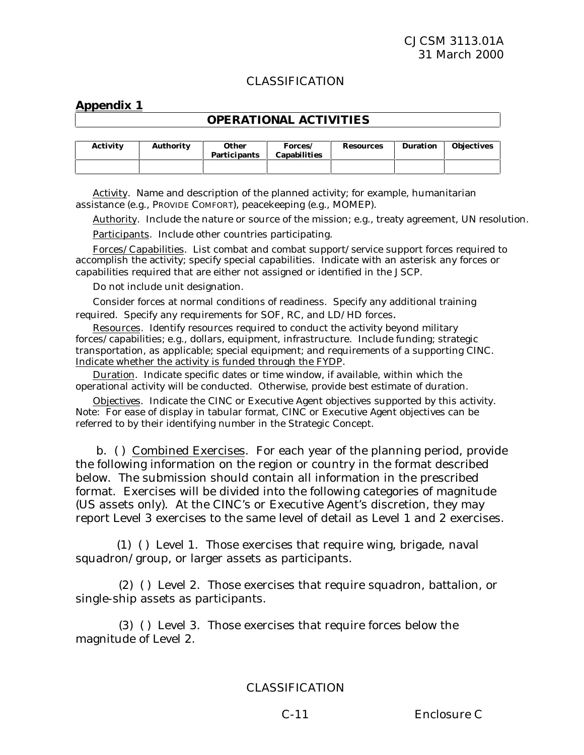### **Appendix 1**

#### **OPERATIONAL ACTIVITIES**

| Activity | <b>Authority</b> | Other<br><b>Participants</b> | Forces/<br><b>Capabilities</b> | <b>Resources</b> | <b>Duration</b> | <b>Objectives</b> |
|----------|------------------|------------------------------|--------------------------------|------------------|-----------------|-------------------|
|          |                  |                              |                                |                  |                 |                   |

Activity. Name and description of the planned activity; for example, humanitarian assistance (e.g., PROVIDE COMFORT), peacekeeping (e.g., MOMEP).

Authority. Include the nature or source of the mission; e.g., treaty agreement, UN resolution.

Participants. Include other countries participating.

Forces/Capabilities. List combat and combat support/service support forces required to accomplish the activity; specify special capabilities. Indicate with an asterisk any forces or capabilities required that are either not assigned or identified in the JSCP.

Do not include unit designation.

Consider forces at normal conditions of readiness. Specify any additional training required. Specify any requirements for SOF, RC, and LD/HD forces.

Resources. Identify resources required to conduct the activity beyond military forces/capabilities; e.g., dollars, equipment, infrastructure. Include funding; strategic transportation, as applicable; special equipment; and requirements of a supporting CINC. Indicate whether the activity is funded through the FYDP.

Duration. Indicate specific dates or time window, if available, within which the operational activity will be conducted. Otherwise, provide best estimate of duration.

Objectives. Indicate the CINC or Executive Agent objectives supported by this activity. Note: For ease of display in tabular format, CINC or Executive Agent objectives can be referred to by their identifying number in the Strategic Concept.

b. ( ) Combined Exercises. For each year of the planning period, provide the following information on the region or country in the format described below. The submission should contain all information in the prescribed format. Exercises will be divided into the following categories of magnitude (US assets only). At the CINC's or Executive Agent's discretion, they may report Level 3 exercises to the same level of detail as Level 1 and 2 exercises.

(1) ( ) Level 1. Those exercises that require wing, brigade, naval squadron/group, or larger assets as participants.

(2) ( ) Level 2. Those exercises that require squadron, battalion, or single-ship assets as participants.

(3) ( ) Level 3. Those exercises that require forces below the magnitude of Level 2.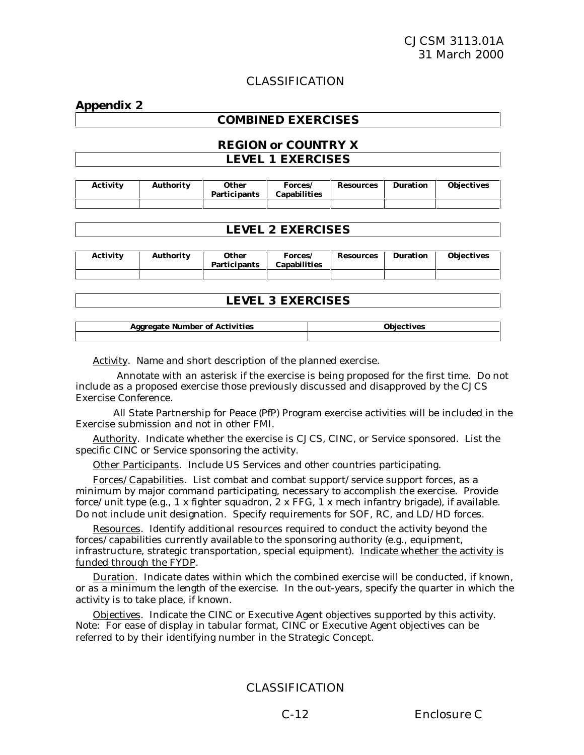#### **Appendix 2**

#### **COMBINED EXERCISES**

#### **REGION or COUNTRY X** *LEVEL 1 EXERCISES*

| <b>Activity</b> | <b>Authority</b> | Other<br><b>Participants</b> | Forces/<br><b>Capabilities</b> | <b>Resources</b> | <b>Duration</b> | <b>Objectives</b> |
|-----------------|------------------|------------------------------|--------------------------------|------------------|-----------------|-------------------|
|                 |                  |                              |                                |                  |                 |                   |

#### *LEVEL 2 EXERCISES*

| <b>Activity</b> | <b>Authority</b> | Other<br><b>Participants</b> | <b>Forces/</b><br><b>Capabilities</b> | <b>Resources</b> | <b>Duration</b> | <b>Objectives</b> |
|-----------------|------------------|------------------------------|---------------------------------------|------------------|-----------------|-------------------|
|                 |                  |                              |                                       |                  |                 |                   |

#### *LEVEL 3 EXERCISES*

| <b>Aggregate Number of Activities</b> | ives |
|---------------------------------------|------|
|                                       |      |

Activity. Name and short description of the planned exercise.

Annotate with an asterisk if the exercise is being proposed for the first time. Do not include as a proposed exercise those previously discussed and disapproved by the CJCS Exercise Conference.

All State Partnership for Peace (PfP) Program exercise activities will be included in the Exercise submission and not in other FMI.

Authority. Indicate whether the exercise is CJCS, CINC, or Service sponsored. List the specific CINC or Service sponsoring the activity.

Other Participants. Include US Services and other countries participating.

Forces/Capabilities. List combat and combat support/service support forces, as a minimum by major command participating, necessary to accomplish the exercise. Provide force/unit type (e.g., 1 x fighter squadron, 2 x FFG, 1 x mech infantry brigade), if available. Do not include unit designation. Specify requirements for SOF, RC, and LD/HD forces.

Resources. Identify additional resources required to conduct the activity beyond the forces/capabilities currently available to the sponsoring authority (e.g., equipment, infrastructure, strategic transportation, special equipment). Indicate whether the activity is funded through the FYDP.

Duration. Indicate dates within which the combined exercise will be conducted, if known, or as a minimum the length of the exercise. In the out-years, specify the quarter in which the activity is to take place, if known.

Objectives. Indicate the CINC or Executive Agent objectives supported by this activity. Note: For ease of display in tabular format, CINC or Executive Agent objectives can be referred to by their identifying number in the Strategic Concept.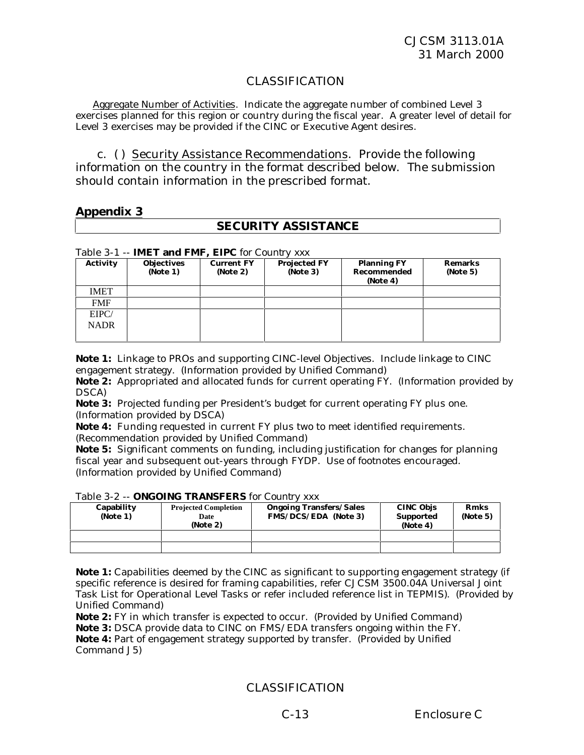<span id="page-48-0"></span>Aggregate Number of Activities. Indicate the aggregate number of combined Level 3 exercises planned for this region or country during the fiscal year. A greater level of detail for Level 3 exercises may be provided if the CINC or Executive Agent desires.

c. ( ) Security Assistance Recommendations. Provide the following information on the country in the format described below. The submission should contain information in the prescribed format.

### **Appendix 3**

#### **SECURITY ASSISTANCE**

#### Table 3-1 -- **IMET and FMF, EIPC** *for Country xxx*

| <b>Activity</b> | <b>Objectives</b><br>(Note 1) | <b>Current FY</b><br>(Note 2) | <b>Projected FY</b><br>(Note 3) | <b>Planning FY</b><br>Recommended<br>(Note 4) | <b>Remarks</b><br>(Note 5) |
|-----------------|-------------------------------|-------------------------------|---------------------------------|-----------------------------------------------|----------------------------|
| <b>IMET</b>     |                               |                               |                                 |                                               |                            |
| <b>FMF</b>      |                               |                               |                                 |                                               |                            |
| EIPC/           |                               |                               |                                 |                                               |                            |
| <b>NADR</b>     |                               |                               |                                 |                                               |                            |
|                 |                               |                               |                                 |                                               |                            |

**Note 1:** Linkage to PROs and supporting CINC-level Objectives. Include linkage to CINC engagement strategy. (Information provided by Unified Command)

**Note 2:** Appropriated and allocated funds for current operating FY. (Information provided by DSCA)

**Note 3:** Projected funding per President's budget for current operating FY plus one. (Information provided by DSCA)

**Note 4:** Funding requested in current FY plus two to meet identified requirements. (Recommendation provided by Unified Command)

**Note 5:** Significant comments on funding, including justification for changes for planning fiscal year and subsequent out-years through FYDP. Use of footnotes encouraged. (Information provided by Unified Command)

#### Table 3-2 -- **ONGOING TRANSFERS** *for Country xxx*

| Capability<br>(Note 1) | <b>Projected Completion</b><br>Date<br>(Note 2) | <b>Ongoing Transfers/Sales</b><br><b>FMS/DCS/EDA</b> (Note 3) | <b>CINC Objs</b><br><b>Supported</b><br>(Note 4) | <b>Rmks</b><br>(Note 5) |
|------------------------|-------------------------------------------------|---------------------------------------------------------------|--------------------------------------------------|-------------------------|
|                        |                                                 |                                                               |                                                  |                         |
|                        |                                                 |                                                               |                                                  |                         |

**Note 1:** Capabilities deemed by the CINC as significant to supporting engagement strategy (if specific reference is desired for framing capabilities, refer CJCSM 3500.04A Universal Joint Task List for Operational Level Tasks or refer included reference list in TEPMIS). (Provided by Unified Command)

**Note 2:** FY in which transfer is expected to occur. (Provided by Unified Command) **Note 3:** DSCA provide data to CINC on FMS/EDA transfers ongoing within the FY. **Note 4:** Part of engagement strategy supported by transfer. (Provided by Unified Command J5)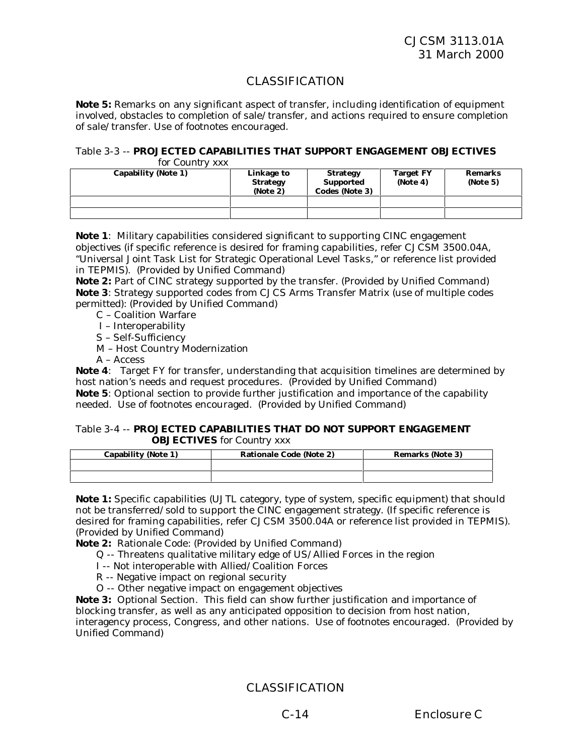<span id="page-49-0"></span>**Note 5:** Remarks on any significant aspect of transfer, including identification of equipment involved, obstacles to completion of sale/transfer, and actions required to ensure completion of sale/transfer. Use of footnotes encouraged.

#### Table 3-3 -- **PROJECTED CAPABILITIES THAT SUPPORT ENGAGEMENT OBJECTIVES** *for Country xxx*

| <b>IDE COUILLY XXX</b>     |                                    |                                                       |                              |                            |
|----------------------------|------------------------------------|-------------------------------------------------------|------------------------------|----------------------------|
| <b>Capability (Note 1)</b> | Linkage to<br>Strategy<br>(Note 2) | <b>Strategy</b><br><b>Supported</b><br>Codes (Note 3) | <b>Target FY</b><br>(Note 4) | <b>Remarks</b><br>(Note 5) |
|                            |                                    |                                                       |                              |                            |
|                            |                                    |                                                       |                              |                            |

**Note 1**: Military capabilities considered significant to supporting CINC engagement objectives (if specific reference is desired for framing capabilities, refer CJCSM 3500.04A, "Universal Joint Task List for Strategic Operational Level Tasks," or reference list provided in TEPMIS). (Provided by Unified Command)

**Note 2:** Part of CINC strategy supported by the transfer. (Provided by Unified Command) **Note 3**: Strategy supported codes from CJCS Arms Transfer Matrix (use of multiple codes permitted): (Provided by Unified Command)

C – Coalition Warfare

I – Interoperability

S – Self-Sufficiency

M – Host Country Modernization

A – Access

**Note 4**: Target FY for transfer, understanding that acquisition timelines are determined by host nation's needs and request procedures. (Provided by Unified Command) **Note 5**: Optional section to provide further justification and importance of the capability needed. Use of footnotes encouraged. (Provided by Unified Command)

#### Table 3-4 -- **PROJECTED CAPABILITIES THAT DO NOT SUPPORT ENGAGEMENT OBJECTIVES** *for Country xxx*

| <b>Capability (Note 1)</b> | <b>Rationale Code (Note 2)</b> | <b>Remarks (Note 3)</b> |
|----------------------------|--------------------------------|-------------------------|
|                            |                                |                         |
|                            |                                |                         |

**Note 1:** Specific capabilities (UJTL category, type of system, specific equipment) that should not be transferred/sold to support the CINC engagement strategy. (If specific reference is desired for framing capabilities, refer CJCSM 3500.04A or reference list provided in TEPMIS). (Provided by Unified Command)

**Note 2:** Rationale Code: (Provided by Unified Command)

- Q -- Threatens qualitative military edge of US/Allied Forces in the region
- I -- Not interoperable with Allied/Coalition Forces
- R -- Negative impact on regional security
- O -- Other negative impact on engagement objectives

**Note 3:** Optional Section. This field can show further justification and importance of blocking transfer, as well as any anticipated opposition to decision from host nation, interagency process, Congress, and other nations. Use of footnotes encouraged. (Provided by Unified Command)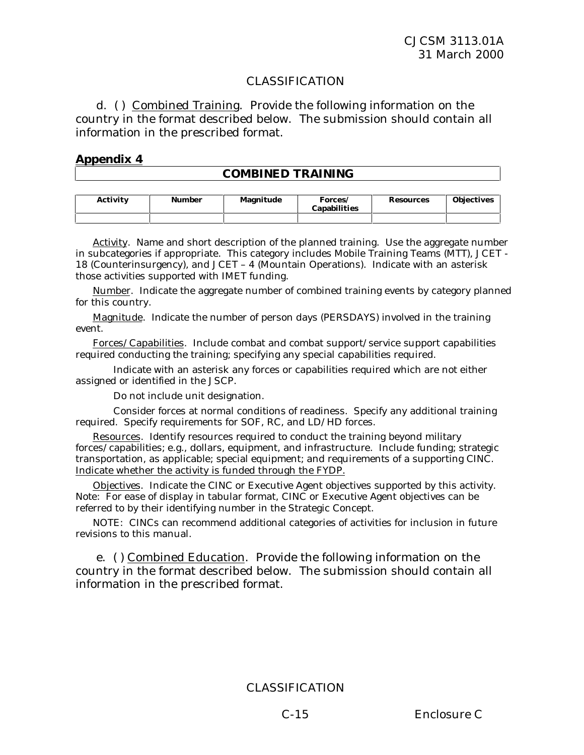d. ( ) Combined Training. Provide the following information on the country in the format described below. The submission should contain all information in the prescribed format.

### **Appendix 4**

#### **COMBINED TRAINING**

| Activity | Number | Magnitude | Forces/<br>Capabilities | <b>Resources</b> | <b>Objectives</b> |
|----------|--------|-----------|-------------------------|------------------|-------------------|
|          |        |           |                         |                  |                   |

Activity. Name and short description of the planned training. Use the aggregate number in subcategories if appropriate. This category includes Mobile Training Teams (MTT), JCET - 18 (Counterinsurgency), and JCET – 4 (Mountain Operations). Indicate with an asterisk those activities supported with IMET funding.

Number. Indicate the aggregate number of combined training events by category planned for this country.

Magnitude. Indicate the number of person days (PERSDAYS) involved in the training event.

Forces/Capabilities. Include combat and combat support/service support capabilities required conducting the training; specifying any special capabilities required.

Indicate with an asterisk any forces or capabilities required which are not either assigned or identified in the JSCP.

Do not include unit designation.

Consider forces at normal conditions of readiness. Specify any additional training required. Specify requirements for SOF, RC, and LD/HD forces.

Resources. Identify resources required to conduct the training beyond military forces/capabilities; e.g., dollars, equipment, and infrastructure. Include funding; strategic transportation, as applicable; special equipment; and requirements of a supporting CINC. Indicate whether the activity is funded through the FYDP.

Objectives. Indicate the CINC or Executive Agent objectives supported by this activity. Note: For ease of display in tabular format, CINC or Executive Agent objectives can be referred to by their identifying number in the Strategic Concept.

NOTE: CINCs can recommend additional categories of activities for inclusion in future revisions to this manual.

e. ( ) Combined Education. Provide the following information on the country in the format described below. The submission should contain all information in the prescribed format.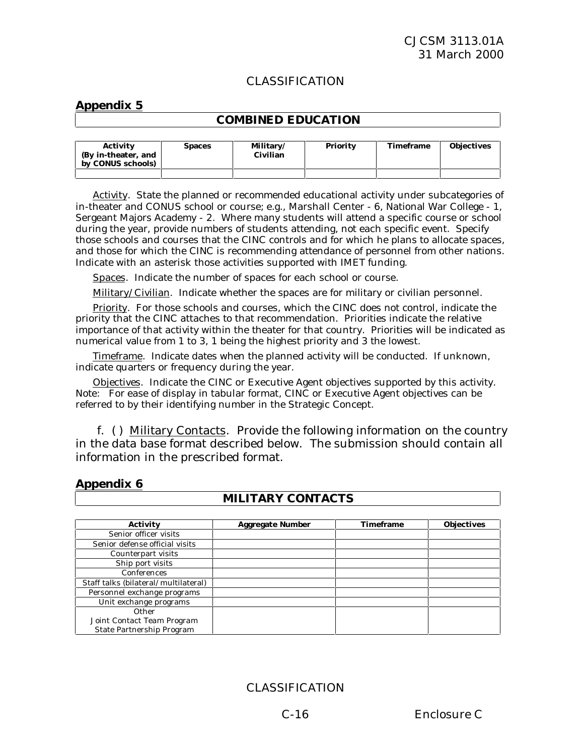### **Appendix 5**

#### **COMBINED EDUCATION**

| Activity<br>(By in-theater, and<br>by CONUS schools) | <b>Spaces</b> | Military/<br>Civilian | <b>Priority</b> | <b>Timeframe</b> | <b>Objectives</b> |
|------------------------------------------------------|---------------|-----------------------|-----------------|------------------|-------------------|
|                                                      |               |                       |                 |                  |                   |

Activity. State the planned or recommended educational activity under subcategories of in-theater and CONUS school or course; e.g., Marshall Center - 6, National War College - 1, Sergeant Majors Academy - 2. Where many students will attend a specific course or school during the year, provide numbers of students attending, not each specific event. Specify those schools and courses that the CINC controls and for which he plans to allocate spaces, and those for which the CINC is recommending attendance of personnel from other nations. Indicate with an asterisk those activities supported with IMET funding.

Spaces. Indicate the number of spaces for each school or course.

Military/Civilian. Indicate whether the spaces are for military or civilian personnel.

Priority. For those schools and courses, which the CINC does not control, indicate the priority that the CINC attaches to that recommendation. Priorities indicate the relative importance of that activity within the theater for that country. Priorities will be indicated as numerical value from 1 to 3, 1 being the highest priority and 3 the lowest.

Timeframe. Indicate dates when the planned activity will be conducted. If unknown, indicate quarters or frequency during the year.

Objectives. Indicate the CINC or Executive Agent objectives supported by this activity. Note: For ease of display in tabular format, CINC or Executive Agent objectives can be referred to by their identifying number in the Strategic Concept.

f. ( ) Military Contacts. Provide the following information on the country in the data base format described below. The submission should contain all information in the prescribed format.

**MILITARY CONTACTS**

| <b>Activity</b>                      | <b>Aggregate Number</b> | <b>Timeframe</b> | <b>Objectives</b> |
|--------------------------------------|-------------------------|------------------|-------------------|
| Senior officer visits                |                         |                  |                   |
| Senior defense official visits       |                         |                  |                   |
| Counterpart visits                   |                         |                  |                   |
| Ship port visits                     |                         |                  |                   |
| Conferences                          |                         |                  |                   |
| Staff talks (bilateral/multilateral) |                         |                  |                   |
| Personnel exchange programs          |                         |                  |                   |
| Unit exchange programs               |                         |                  |                   |
| Other                                |                         |                  |                   |
| Joint Contact Team Program           |                         |                  |                   |
| <b>State Partnership Program</b>     |                         |                  |                   |

### **Appendix 6**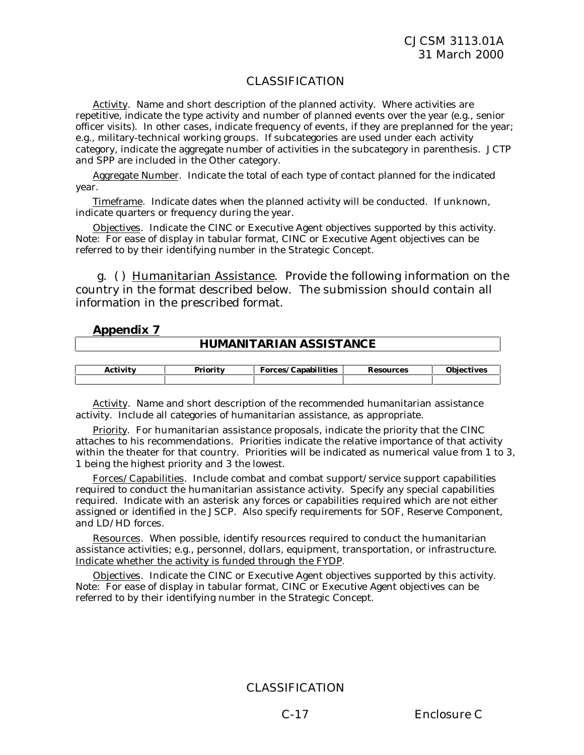Activity. Name and short description of the planned activity. Where activities are repetitive, indicate the type activity and number of planned events over the year (e.g., senior officer visits). In other cases, indicate frequency of events, if they are preplanned for the year; e.g., military-technical working groups. If subcategories are used under each activity category, indicate the aggregate number of activities in the subcategory in parenthesis. JCTP and SPP are included in the Other category.

Aggregate Number. Indicate the total of each type of contact planned for the indicated year.

Timeframe. Indicate dates when the planned activity will be conducted. If unknown, indicate quarters or frequency during the year.

Objectives. Indicate the CINC or Executive Agent objectives supported by this activity. Note: For ease of display in tabular format, CINC or Executive Agent objectives can be referred to by their identifying number in the Strategic Concept.

g. ( ) Humanitarian Assistance. Provide the following information on the country in the format described below. The submission should contain all information in the prescribed format.

#### **Appendix 7**

| Activity | Priority | Forces/Capabilities | <b>Resources</b> | <b>Objectives</b> |
|----------|----------|---------------------|------------------|-------------------|
|          |          |                     |                  |                   |

**HUMANITARIAN ASSISTANCE**

Activity. Name and short description of the recommended humanitarian assistance activity. Include all categories of humanitarian assistance, as appropriate.

Priority. For humanitarian assistance proposals, indicate the priority that the CINC attaches to his recommendations. Priorities indicate the relative importance of that activity within the theater for that country. Priorities will be indicated as numerical value from 1 to 3, 1 being the highest priority and 3 the lowest.

Forces/Capabilities. Include combat and combat support/service support capabilities required to conduct the humanitarian assistance activity. Specify any special capabilities required. Indicate with an asterisk any forces or capabilities required which are not either assigned or identified in the JSCP. Also specify requirements for SOF, Reserve Component, and LD/HD forces.

Resources. When possible, identify resources required to conduct the humanitarian assistance activities; e.g., personnel, dollars, equipment, transportation, or infrastructure. Indicate whether the activity is funded through the FYDP.

Objectives. Indicate the CINC or Executive Agent objectives supported by this activity. Note: For ease of display in tabular format, CINC or Executive Agent objectives can be referred to by their identifying number in the Strategic Concept.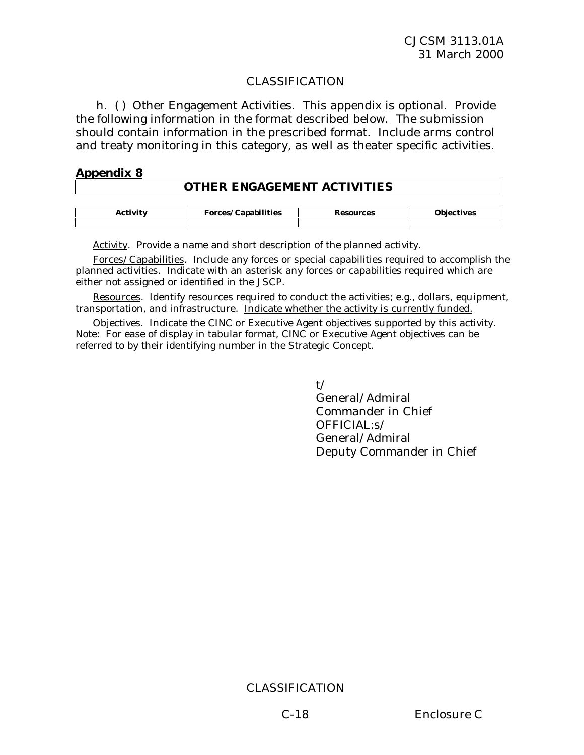h. () Other Engagement Activities. This appendix is optional. Provide the following information in the format described below. The submission should contain information in the prescribed format. Include arms control and treaty monitoring in this category, as well as theater specific activities.

#### **Appendix 8**

#### **OTHER ENGAGEMENT ACTIVITIES**

| Activity | Forces/Capabilities | Resources | <b>Objectives</b> |
|----------|---------------------|-----------|-------------------|
|          |                     |           |                   |

Activity. Provide a name and short description of the planned activity.

Forces/Capabilities. Include any forces or special capabilities required to accomplish the planned activities. Indicate with an asterisk any forces or capabilities required which are either not assigned or identified in the JSCP.

Resources. Identify resources required to conduct the activities; e.g., dollars, equipment, transportation, and infrastructure. Indicate whether the activity is currently funded.

Objectives. Indicate the CINC or Executive Agent objectives supported by this activity. Note: For ease of display in tabular format, CINC or Executive Agent objectives can be referred to by their identifying number in the Strategic Concept.

 $t/$ 

General/Admiral Commander in Chief OFFICIAL:s/ General/Admiral Deputy Commander in Chief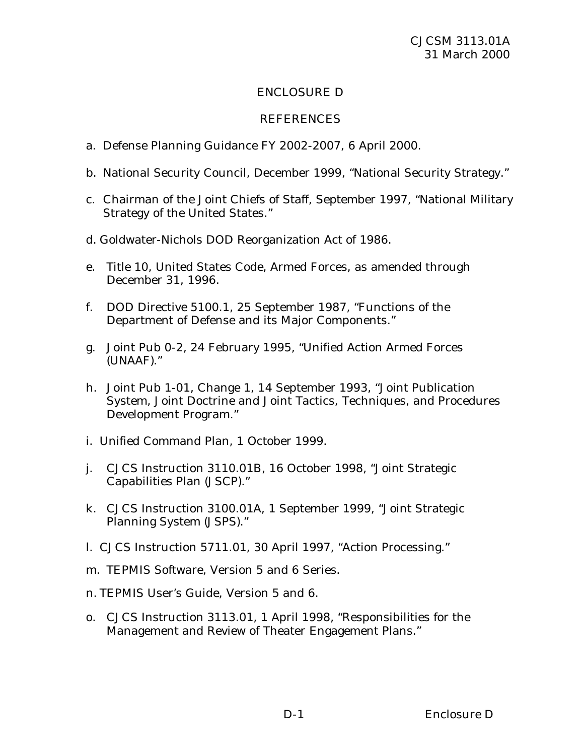#### ENCLOSURE D

#### REFERENCES

- <span id="page-54-0"></span>a. Defense Planning Guidance FY 2002-2007, 6 April 2000.
- b. National Security Council, December 1999, "National Security Strategy."
- c. Chairman of the Joint Chiefs of Staff, September 1997, "National Military Strategy of the United States."
- d. Goldwater-Nichols DOD Reorganization Act of 1986.
- e. Title 10, United States Code, Armed Forces, as amended through December 31, 1996.
- f. DOD Directive 5100.1, 25 September 1987, "Functions of the Department of Defense and its Major Components."
- g. Joint Pub 0-2, 24 February 1995, "Unified Action Armed Forces (UNAAF)."
- h. Joint Pub 1-01, Change 1, 14 September 1993, "Joint Publication System, Joint Doctrine and Joint Tactics, Techniques, and Procedures Development Program."
- i. Unified Command Plan, 1 October 1999.
- j. CJCS Instruction 3110.01B, 16 October 1998, "Joint Strategic Capabilities Plan (JSCP)."
- k. CJCS Instruction 3100.01A, 1 September 1999, "Joint Strategic Planning System (JSPS)."
- l. CJCS Instruction 5711.01, 30 April 1997, "Action Processing."
- m. TEPMIS Software, Version 5 and 6 Series.
- n. TEPMIS User's Guide, Version 5 and 6.
- o. CJCS Instruction 3113.01, 1 April 1998, "Responsibilities for the Management and Review of Theater Engagement Plans."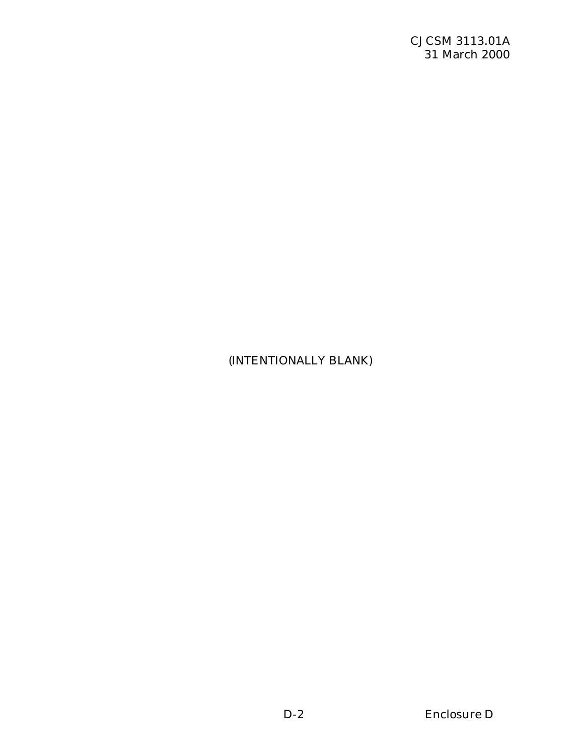# CJCSM 3113.01A 31 March 2000

# (INTENTIONALLY BLANK)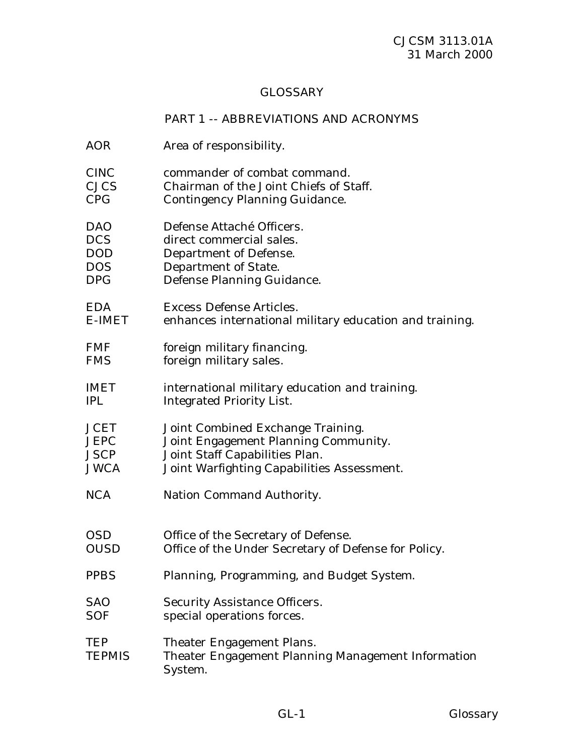# GLOSSARY

# PART 1 -- ABBREVIATIONS AND ACRONYMS

<span id="page-56-0"></span>

| <b>AOR</b>           | Area of responsibility.                                                                    |
|----------------------|--------------------------------------------------------------------------------------------|
| <b>CINC</b>          | commander of combat command.                                                               |
| <b>CJCS</b>          | Chairman of the Joint Chiefs of Staff.                                                     |
| <b>CPG</b>           | <b>Contingency Planning Guidance.</b>                                                      |
| <b>DAO</b>           | Defense Attaché Officers.                                                                  |
| <b>DCS</b>           | direct commercial sales.                                                                   |
| <b>DOD</b>           | Department of Defense.                                                                     |
| <b>DOS</b>           | <b>Department of State.</b>                                                                |
| <b>DPG</b>           | Defense Planning Guidance.                                                                 |
| <b>EDA</b>           | <b>Excess Defense Articles.</b>                                                            |
| E-IMET               | enhances international military education and training.                                    |
| <b>FMF</b>           | foreign military financing.                                                                |
| <b>FMS</b>           | foreign military sales.                                                                    |
| <b>IMET</b>          | international military education and training.                                             |
| <b>IPL</b>           | <b>Integrated Priority List.</b>                                                           |
| <b>JCET</b>          | Joint Combined Exchange Training.                                                          |
| <b>JEPC</b>          | Joint Engagement Planning Community.                                                       |
| <b>JSCP</b>          | Joint Staff Capabilities Plan.                                                             |
| <b>JWCA</b>          | Joint Warfighting Capabilities Assessment.                                                 |
| <b>NCA</b>           | <b>Nation Command Authority.</b>                                                           |
| <b>OSD</b>           | Office of the Secretary of Defense.                                                        |
| <b>OUSD</b>          | Office of the Under Secretary of Defense for Policy.                                       |
| <b>PPBS</b>          | Planning, Programming, and Budget System.                                                  |
| <b>SAO</b>           | <b>Security Assistance Officers.</b>                                                       |
| SOF                  | special operations forces.                                                                 |
| TEP<br><b>TEPMIS</b> | Theater Engagement Plans.<br>Theater Engagement Planning Management Information<br>System. |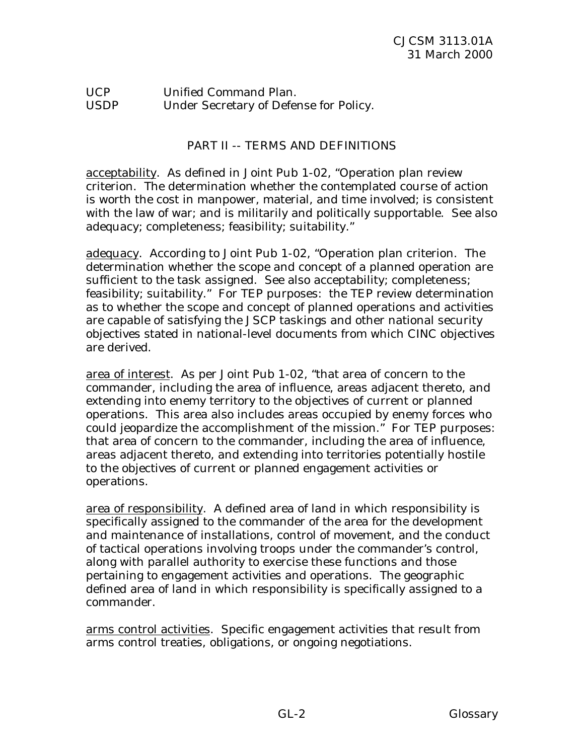### UCP Unified Command Plan. USDP Under Secretary of Defense for Policy.

### PART II -- TERMS AND DEFINITIONS

acceptability. As defined in Joint Pub 1-02, "Operation plan review criterion. The determination whether the contemplated course of action is worth the cost in manpower, material, and time involved; is consistent with the law of war; and is militarily and politically supportable. See also adequacy; completeness; feasibility; suitability."

adequacy. According to Joint Pub 1-02, "Operation plan criterion. The determination whether the scope and concept of a planned operation are sufficient to the task assigned. See also acceptability; completeness; feasibility; suitability." For TEP purposes: the TEP review determination as to whether the scope and concept of planned operations and activities are capable of satisfying the JSCP taskings and other national security objectives stated in national-level documents from which CINC objectives are derived.

area of interest. As per Joint Pub 1-02, "that area of concern to the commander, including the area of influence, areas adjacent thereto, and extending into enemy territory to the objectives of current or planned operations. This area also includes areas occupied by enemy forces who could jeopardize the accomplishment of the mission." For TEP purposes: that area of concern to the commander, including the area of influence, areas adjacent thereto, and extending into territories potentially hostile to the objectives of current or planned engagement activities or operations.

area of responsibility. A defined area of land in which responsibility is specifically assigned to the commander of the area for the development and maintenance of installations, control of movement, and the conduct of tactical operations involving troops under the commander's control, along with parallel authority to exercise these functions and those pertaining to engagement activities and operations. The geographic defined area of land in which responsibility is specifically assigned to a commander.

arms control activities. Specific engagement activities that result from arms control treaties, obligations, or ongoing negotiations.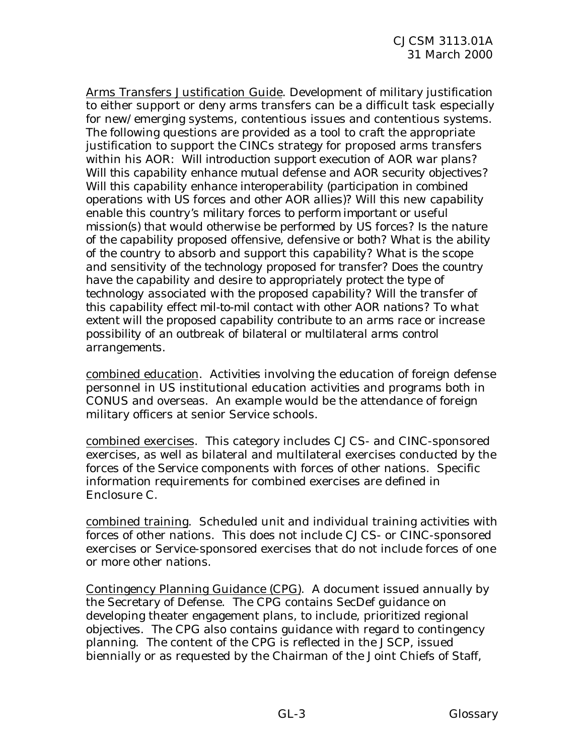Arms Transfers Justification Guide. Development of military justification to either support or deny arms transfers can be a difficult task especially for new/emerging systems, contentious issues and contentious systems. The following questions are provided as a tool to craft the appropriate justification to support the CINCs strategy for proposed arms transfers within his AOR: *Will introduction support execution of AOR war plans? Will this capability enhance mutual defense and AOR security objectives? Will this capability enhance interoperability (participation in combined operations with US forces and other AOR allies)? Will this new capability enable this country's military forces to perform important or useful mission(s) that would otherwise be performed by US forces? Is the nature of the capability proposed offensive, defensive or both? What is the ability of the country to absorb and support this capability? What is the scope and sensitivity of the technology proposed for transfer? Does the country have the capability and desire to appropriately protect the type of technology associated with the proposed capability? Will the transfer of this capability effect mil-to-mil contact with other AOR nations? To what extent will the proposed capability contribute to an arms race or increase possibility of an outbreak of bilateral or multilateral arms control arrangements.*

combined education. Activities involving the education of foreign defense personnel in US institutional education activities and programs both in CONUS and overseas. An example would be the attendance of foreign military officers at senior Service schools.

combined exercises. This category includes CJCS- and CINC-sponsored exercises, as well as bilateral and multilateral exercises conducted by the forces of the Service components with forces of other nations. Specific information requirements for combined exercises are defined in Enclosure C.

combined training. Scheduled unit and individual training activities with forces of other nations. This does not include CJCS- or CINC-sponsored exercises or Service-sponsored exercises that do not include forces of one or more other nations.

Contingency Planning Guidance (CPG). A document issued annually by the Secretary of Defense. The CPG contains SecDef guidance on developing theater engagement plans, to include, prioritized regional objectives. The CPG also contains guidance with regard to contingency planning. The content of the CPG is reflected in the JSCP, issued biennially or as requested by the Chairman of the Joint Chiefs of Staff,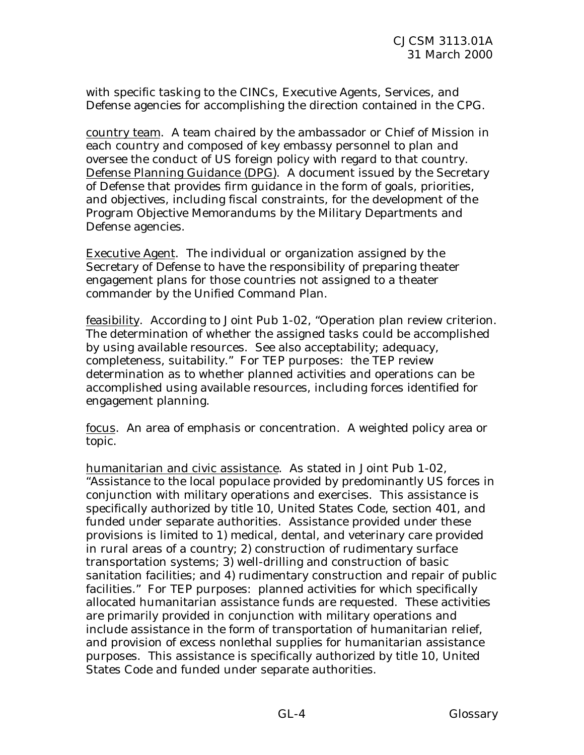with specific tasking to the CINCs, Executive Agents, Services, and Defense agencies for accomplishing the direction contained in the CPG.

country team. A team chaired by the ambassador or Chief of Mission in each country and composed of key embassy personnel to plan and oversee the conduct of US foreign policy with regard to that country. Defense Planning Guidance (DPG). A document issued by the Secretary of Defense that provides firm guidance in the form of goals, priorities, and objectives, including fiscal constraints, for the development of the Program Objective Memorandums by the Military Departments and Defense agencies.

Executive Agent. The individual or organization assigned by the Secretary of Defense to have the responsibility of preparing theater engagement plans for those countries not assigned to a theater commander by the Unified Command Plan.

feasibility. According to Joint Pub 1-02, "Operation plan review criterion. The determination of whether the assigned tasks could be accomplished by using available resources. See also acceptability; adequacy, completeness, suitability." For TEP purposes: the TEP review determination as to whether planned activities and operations can be accomplished using available resources, including forces identified for engagement planning.

focus. An area of emphasis or concentration. A weighted policy area or topic.

humanitarian and civic assistance. As stated in Joint Pub 1-02, "Assistance to the local populace provided by predominantly US forces in conjunction with military operations and exercises. This assistance is specifically authorized by title 10, United States Code, section 401, and funded under separate authorities. Assistance provided under these provisions is limited to 1) medical, dental, and veterinary care provided in rural areas of a country; 2) construction of rudimentary surface transportation systems; 3) well-drilling and construction of basic sanitation facilities; and 4) rudimentary construction and repair of public facilities." For TEP purposes: planned activities for which specifically allocated humanitarian assistance funds are requested. These activities are primarily provided in conjunction with military operations and include assistance in the form of transportation of humanitarian relief, and provision of excess nonlethal supplies for humanitarian assistance purposes. This assistance is specifically authorized by title 10, United States Code and funded under separate authorities.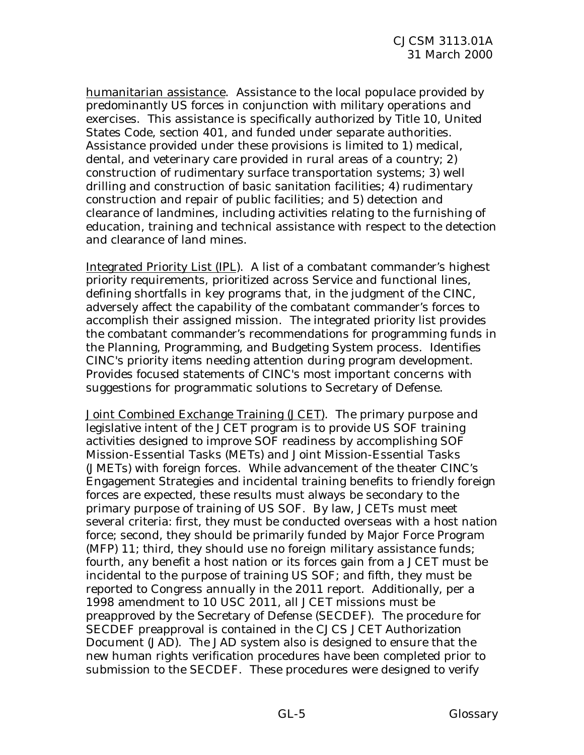humanitarian assistance. Assistance to the local populace provided by predominantly US forces in conjunction with military operations and exercises. This assistance is specifically authorized by Title 10, United States Code, section 401, and funded under separate authorities. Assistance provided under these provisions is limited to 1) medical, dental, and veterinary care provided in rural areas of a country; 2) construction of rudimentary surface transportation systems; 3) well drilling and construction of basic sanitation facilities; 4) rudimentary construction and repair of public facilities; and 5) detection and clearance of landmines, including activities relating to the furnishing of education, training and technical assistance with respect to the detection and clearance of land mines.

Integrated Priority List (IPL). A list of a combatant commander's highest priority requirements, prioritized across Service and functional lines, defining shortfalls in key programs that, in the judgment of the CINC, adversely affect the capability of the combatant commander's forces to accomplish their assigned mission. The integrated priority list provides the combatant commander's recommendations for programming funds in the Planning, Programming, and Budgeting System process. Identifies CINC's priority items needing attention during program development. Provides focused statements of CINC's most important concerns with suggestions for programmatic solutions to Secretary of Defense.

Joint Combined Exchange Training (JCET). The primary purpose and legislative intent of the JCET program is to provide US SOF training activities designed to improve SOF readiness by accomplishing SOF Mission-Essential Tasks (METs) and Joint Mission-Essential Tasks (JMETs) with foreign forces. While advancement of the theater CINC's Engagement Strategies and incidental training benefits to friendly foreign forces are expected, these results must always be secondary to the primary purpose of training of US SOF. By law, JCETs must meet several criteria: first, they must be conducted overseas with a host nation force; second, they should be primarily funded by Major Force Program (MFP) 11; third, they should use no foreign military assistance funds; fourth, any benefit a host nation or its forces gain from a JCET must be incidental to the purpose of training US SOF; and fifth, they must be reported to Congress annually in the 2011 report. Additionally, per a 1998 amendment to 10 USC 2011, all JCET missions must be preapproved by the Secretary of Defense (SECDEF). The procedure for SECDEF preapproval is contained in the CJCS JCET Authorization Document (JAD). The JAD system also is designed to ensure that the new human rights verification procedures have been completed prior to submission to the SECDEF. These procedures were designed to verify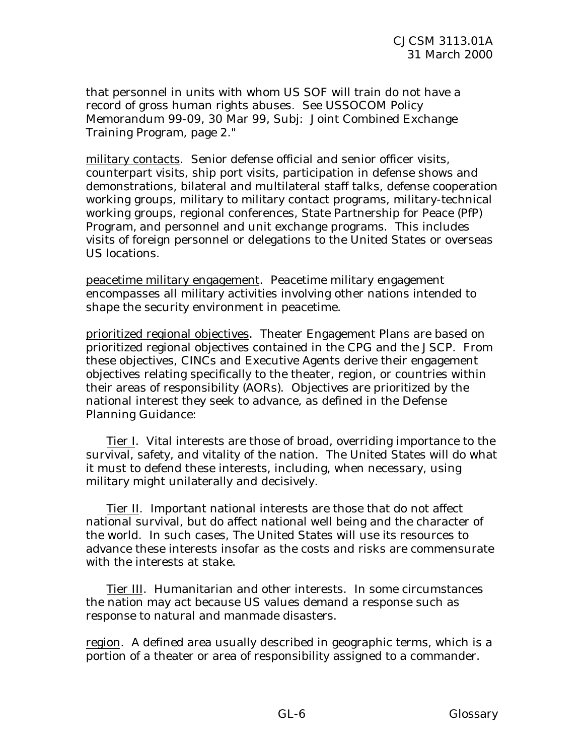that personnel in units with whom US SOF will train do not have a record of gross human rights abuses. See USSOCOM Policy Memorandum 99-09, 30 Mar 99, Subj: Joint Combined Exchange Training Program, page 2."

military contacts. Senior defense official and senior officer visits, counterpart visits, ship port visits, participation in defense shows and demonstrations, bilateral and multilateral staff talks, defense cooperation working groups, military to military contact programs, military-technical working groups, regional conferences, State Partnership for Peace (PfP) Program, and personnel and unit exchange programs. This includes visits of foreign personnel or delegations to the United States or overseas US locations.

peacetime military engagement. Peacetime military engagement encompasses all military activities involving other nations intended to shape the security environment in peacetime.

prioritized regional objectives. Theater Engagement Plans are based on prioritized regional objectives contained in the CPG and the JSCP. From these objectives, CINCs and Executive Agents derive their engagement objectives relating specifically to the theater, region, or countries within their areas of responsibility (AORs). Objectives are prioritized by the national interest they seek to advance, as defined in the Defense Planning Guidance:

Tier I. Vital interests are those of broad, overriding importance to the survival, safety, and vitality of the nation. The United States will do what it must to defend these interests, including, when necessary, using military might unilaterally and decisively.

Tier II. Important national interests are those that do not affect national survival, but do affect national well being and the character of the world. In such cases, The United States will use its resources to advance these interests insofar as the costs and risks are commensurate with the interests at stake.

Tier III. Humanitarian and other interests. In some circumstances the nation may act because US values demand a response such as response to natural and manmade disasters.

region. A defined area usually described in geographic terms, which is a portion of a theater or area of responsibility assigned to a commander.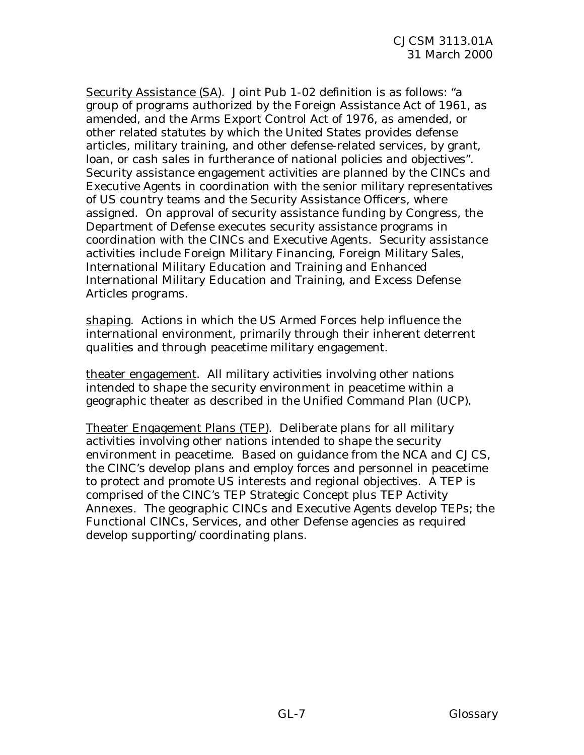Security Assistance (SA). Joint Pub 1-02 definition is as follows: "a group of programs authorized by the Foreign Assistance Act of 1961, as amended, and the Arms Export Control Act of 1976, as amended, or other related statutes by which the United States provides defense articles, military training, and other defense-related services, by grant, loan, or cash sales in furtherance of national policies and objectives". Security assistance engagement activities are planned by the CINCs and Executive Agents in coordination with the senior military representatives of US country teams and the Security Assistance Officers, where assigned. On approval of security assistance funding by Congress, the Department of Defense executes security assistance programs in coordination with the CINCs and Executive Agents. Security assistance activities include Foreign Military Financing, Foreign Military Sales, International Military Education and Training and Enhanced International Military Education and Training, and Excess Defense Articles programs.

shaping. Actions in which the US Armed Forces help influence the international environment, primarily through their inherent deterrent qualities and through peacetime military engagement.

theater engagement. All military activities involving other nations intended to shape the security environment in peacetime within a geographic theater as described in the Unified Command Plan (UCP).

Theater Engagement Plans (TEP). Deliberate plans for all military activities involving other nations intended to shape the security environment in peacetime. Based on guidance from the NCA and CJCS, the CINC's develop plans and employ forces and personnel in peacetime to protect and promote US interests and regional objectives. A TEP is comprised of the CINC's TEP Strategic Concept plus TEP Activity Annexes. The geographic CINCs and Executive Agents develop TEPs; the Functional CINCs, Services, and other Defense agencies as required develop supporting/coordinating plans.